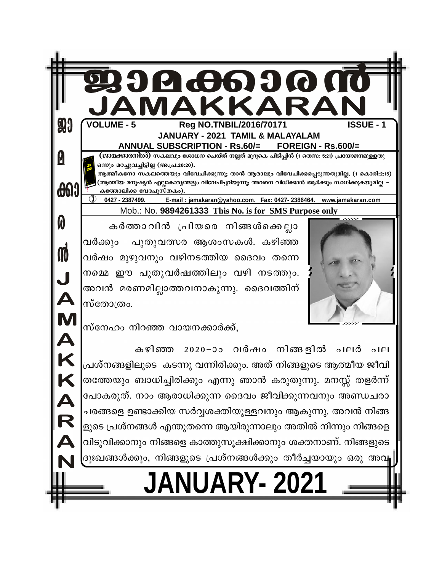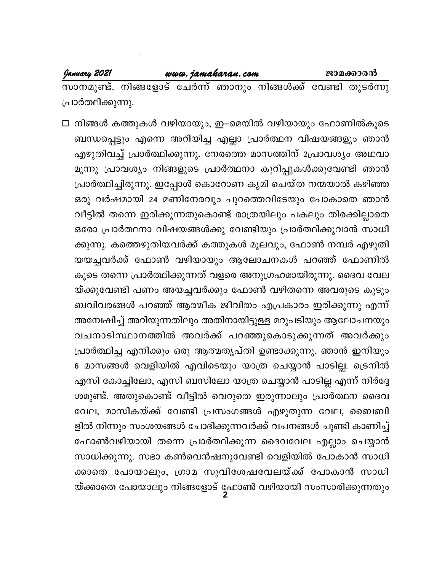#### www.jamakaran.com

സാനമുണ്ട്. നിങ്ങളോട് ചേർന്ന് ഞാനും നിങ്ങൾക്ക് വേണ്ടി തുടർന്നു പ്രാർത്ഥിക്കുന്നു.

□ നിങ്ങൾ കത്തുകൾ വഴിയായും, ഇ–മെയിൽ വഴിയായും ഫോണിൽകൂടെ ബന്ധപ്പെട്ടും എന്നെ അറിയിച്ച എല്ലാ പ്രാർത്ഥന വിഷയങ്ങളും ഞാൻ എഴുതിവച്ച് പ്രാർത്ഥിക്കുന്നു. നേരത്തെ മാസത്തിന് 2പ്രാവശ്യം അഥവാ മൂന്നു പ്രാവശ്യം നിങ്ങളുടെ പ്രാർത്ഥനാ കുറിപ്പുകൾക്കുവേണ്ടി ഞാൻ പ്രാർത്ഥിച്ചിരുന്നു. ഇപ്പോൾ കൊറോണ കൃമി ചെയ്ത നന്മയാൽ കഴിഞ്ഞ ഒരു വർഷമായി 24 മണിനേരവും പുറത്തെവിടേയും പോകാതെ ഞാൻ വീട്ടിൽ തന്നെ ഇരിക്കുന്നതുകൊണ്ട് രാത്രയിലും പകലും തിരക്കില്ലാതെ ഒരോ പ്രാർത്ഥനാ വിഷയങ്ങൾക്കു വേണ്ടിയും പ്രാർത്ഥിക്കുവാൻ സാധി ക്കുന്നു. കത്തെഴുതിയവർക്ക് കത്തുകൾ മൂലവും, ഫോൺ നമ്പർ എഴുതി യയച്ചവർക്ക് ഫോൺ വഴിയായും ആലോചനകൾ പറഞ്ഞ് ഫോണിൽ കൂടെ തന്നെ പ്രാർത്ഥിക്കുന്നത് വളരെ അനുഗ്രഹമായിരുന്നു. ദൈവ വേല യ്ക്കുവേണ്ടി പണം അയച്ചവർക്കും ഫോൺ വഴിതന്നെ അവരുടെ കുടും ബവിവരങ്ങൾ പറഞ്ഞ് ആത്മീക ജീവിതം എപ്രകാരം ഇരിക്കുന്നു എന്ന് അമ്പേഷിച്ച് അറിയുന്നതിലും അതിനായിട്ടുള്ള മറുപടിയും ആലോചനയും വചനാടിസ്ഥാനത്തിൽ അവർക്ക് പറഞ്ഞുകൊടുക്കുന്നത് അവർക്കും പ്രാർത്ഥിച്ച എനിക്കും ഒരു ആത്മതൃപ്തി ഉണ്ടാക്കുന്നു. ഞാൻ ഇനിയും 6 മാസങ്ങൾ വെളിയിൽ എവിടെയും യാത്ര ചെയ്യാൻ പാടില്ല. ട്രെനിൽ എസി കോച്ചിലോ, എസി ബസിലോ യാത്ര ചെയ്യാൻ പാടില്ല എന്ന് നിർദ്ദേ ശമുണ്ട്. അതുകൊണ്ട് വീട്ടിൽ വെറുതെ ഇരുന്നാലും പ്രാർത്ഥന ദൈവ വേല, മാസികയ്ക്ക് വേണ്ടി പ്രസംഗങ്ങൾ എഴുതുന്ന വേല, ബൈബി ളിൽ നിന്നും സംശയങ്ങൾ ചോദിക്കുന്നവർക്ക് വചനങ്ങൾ ചൂണ്ടി കാണിച്ച് ഫോൺവഴിയായി തന്നെ പ്രാർത്ഥിക്കുന്ന ദൈവവേല എല്ലാം ചെയ്യാൻ സാധിക്കുന്നു. സഭാ കൺവെൻഷനുവേണ്ടി വെളിയിൽ പോകാൻ സാധി ക്കാതെ പോയാലും, ഗ്രാമ സുവിശേഷവേലയ്ക്ക് പോകാൻ സാധി യ്ക്കാതെ പോയാലും നിങ്ങളോട് ഫോൺ വഴിയായി സംസാരിക്കുന്നതും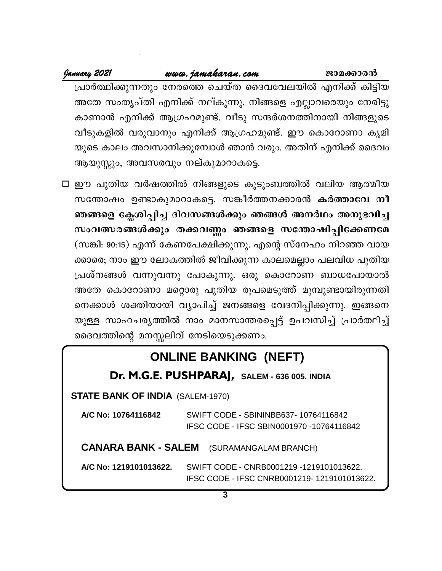#### www.jamakaran.com

January 2021

ജാമക്കാരൻ

പ്രാർത്ഥിക്കുന്നതും നേരത്തെ ചെയ്ത ദൈവവേലയിൽ എനിക്ക് കിട്ടിയ അതേ സംതൃപ്തി എനിക്ക് നല്കുന്നു. നിങ്ങളെ എല്ലാവരെയും നേരിട്ടു കാണാൻ എനിക്ക് ആഗ്രഹമുണ്ട്. വീടു സന്ദർശനത്തിനായി നിങ്ങളുടെ വീടുകളിൽ വരുവാനും എനിക്ക് ആഗ്രഹമുണ്ട്. ഈ കൊറോണാ കൃമി യുടെ കാലം അവസാനിക്കുമ്പോൾ ഞാൻ വരും. അതിന് എനിക്ക് ദൈവം ആയുസ്സും, അവസരവും നല്കുമാറാകട്ടെ.

 $\Box$  ഈ പുതിയ വർഷത്തിൽ നിങ്ങളുടെ കുടുംബത്തിൽ വലിയ ആത്മീയ സന്തോഷം ഉണ്ടാകുമാറാകട്ടെ. സങ്കീർത്തനക്കാരൻ കർത്താവേ നീ ഞങ്ങളെ ക്ലേശിപ്പിച്ച ദിവസങ്ങൾക്കും ഞങ്ങൾ അനർഥം അനുഭവിച്ച സംവത്സരങ്ങൾക്കും തക്കവണ്ണം ഞങ്ങളെ സന്തോഷിപ്പിക്കേണമേ (സങ്കി: 90:15) എന്ന് കേണപേക്ഷിക്കുന്നു. എന്റെ സ്നേഹം നിറഞ്ഞ വായ ക്കാരെ; നാം ഈ ലോകത്തിൽ ജീവിക്കുന്ന കാലമെല്ലാം പലവിധ പുതിയ പ്രശ്നങ്ങൾ വന്നുവന്നു പോകുന്നു. ഒരു കൊറോണ ബാധപോയാൽ അതേ കൊറോണാ മറ്റൊരു പുതിയ രൂപമെടുത്ത് മുമ്പുണ്ടായിരുന്നതി നെക്കാൾ ശക്തിയായി വ്യാപിച്ച് ജനങ്ങളെ വേദനിപ്പിക്കുന്നു. ഇങ്ങനെ യുള്ള സാഹചര്യത്തിൽ നാം മാനസാന്തരപ്പെട്ട് ഉപവസിച്ച് പ്രാർത്ഥിച്ച് ദൈവത്തിന്റെ മനസ്സലിവ് നേടിയെടുക്കണം.

## **ONLINE BANKING (NEFT)**

## Dr. M.G.E. PUSHPARAJ, SALEM - 636 005. INDIA

**STATE BANK OF INDIA (SALEM-1970)** 

| A/C No: 10764116842                              |  | SWIFT CODE - SBININBB637-10764116842<br>IFSC CODE - IFSC SBIN0001970 -10764116842 |  |
|--------------------------------------------------|--|-----------------------------------------------------------------------------------|--|
| <b>CANARA BANK - SALEM</b> (SURAMANGALAM BRANCH) |  |                                                                                   |  |
|                                                  |  | A/C No: 1219101013622. SWIFT CODE - CNRB0001219 -1219101013622.                   |  |

IFSC CODE - IFSC CNRB0001219-1219101013622.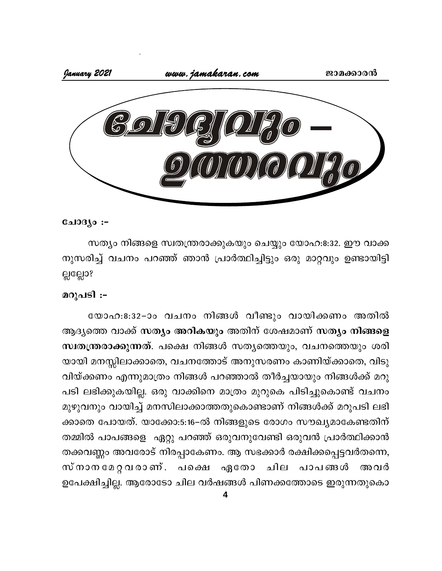

#### ചോദ്യം :-

സത്യം നിങ്ങളെ സ്വതന്ത്രരാക്കുകയും ചെയ്യും യോഹ:8:32. ഈ വാക്ക നുസരിച്ച് വചനം പറഞ്ഞ് ഞാൻ പ്രാർത്ഥിച്ചിട്ടും ഒരു മാറ്റവും ഉണ്ടായിട്ടി ല്ലല്ലോ?

#### മറുപടി :-

യോഹ:8:32-ാം വചനം നിങ്ങൾ വീണ്ടും വായിക്കണം അതിൽ ആദ്യത്തെ വാക്ക് സത്യം അറികയും അതിന് ശേഷമാണ് സത്യം നിങ്ങളെ സ്ഥതന്ത്രരാക്കുന്നത്. പക്ഷെ നിങ്ങൾ സത്യത്തെയും, വചനത്തെയും ശരി യായി മനസ്സിലാക്കാതെ, വചനത്തോട് അനുസരണം കാണിയ്ക്കാതെ, വിടു വിയ്ക്കണം എന്നുമാത്രം നിങ്ങൾ പറഞ്ഞാൽ തീർച്ചയായും നിങ്ങൾക്ക് മറു പടി ലഭിക്കുകയില്ല. ഒരു വാക്കിനെ മാത്രം മുറുകെ പിടിച്ചുകൊണ്ട് വചനം മുഴുവനും വായിച്ച് മനസിലാക്കാത്തതുകൊണ്ടാണ് നിങ്ങൾക്ക് മറുപടി ലഭി ക്കാതെ പോയത്. യാക്കോ:5:16–ൽ നിങ്ങളുടെ രോഗം സൗഖ്യമാകേണ്ടതിന് തമ്മിൽ പാപങ്ങളെ ഏറ്റു പറഞ്ഞ് ഒരുവനുവേണ്ടി ഒരുവൻ പ്രാർത്ഥിക്കാൻ തക്കവണ്ണം അവരോട് നിരപ്പാകേണം. ആ സഭക്കാർ രക്ഷിക്കപ്പെട്ടവർതന്നെ, സ്നാനമേറ്റവരാണ്. പക്ഷെ ഏതോ ചില പാപങ്ങൾ അവർ ഉപേക്ഷിച്ചില്ല. ആരോടോ ചില വർഷങ്ങൾ പിണക്കത്തോടെ ഇരുന്നതുകൊ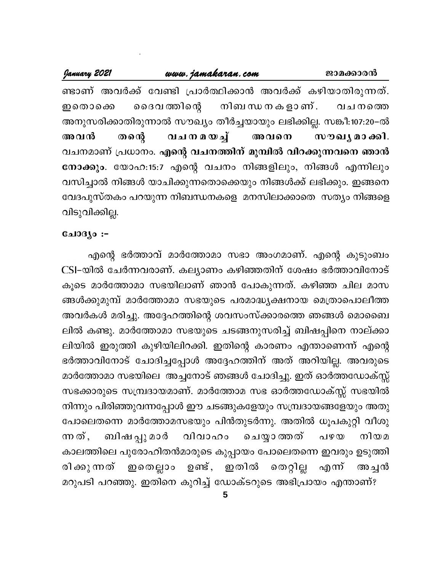January 2021 www.jamakaran.com ജാമക്കാരൻ ണ്ടാണ് അവർക്ക് വേണ്ടി പ്രാർത്ഥിക്കാൻ അവർക്ക് കഴിയാതിരുന്നത്. ദൈവ ത്തിന്റെ നിബ ന്ധ ന ക ളാ ണ് . ഇതൊക്കെ വചനത്തെ അനുസരിക്കാതിരുന്നാൽ സൗഖ്യം തീർച്ചയായും ലഭിക്കില്ല. സങ്കീ:107:20–ൽ <u>வாயமைவு</u> അവൻ തന്റെ അവനെ സൗഖൃ മാക്കി. വചനമാണ് പ്രധാനം. എന്റെ വചനത്തിന് മുമ്പിൽ വിറക്കുന്നവനെ ഞാൻ നോക്കും. യോഹ:15:7 എന്റെ വചനം നിങ്ങളിലും, നിങ്ങൾ എന്നിലും വസിച്ചാൽ നിങ്ങൾ യാചിക്കുന്നതൊക്കെയും നിങ്ങൾക്ക് ലഭിക്കും. ഇങ്ങനെ വേദപുസ്തകം പറയുന്ന നിബന്ധനകളെ മനസിലാക്കാതെ സത്യം നിങ്ങളെ വിടുവിക്കില്ല.

#### ചോദ്യം :-

എന്റെ ഭർത്താവ് മാർത്തോമാ സഭാ അംഗമാണ്. എന്റെ കുടുംബം CSI-യിൽ ചേർന്നവരാണ്. കല്യാണം കഴിഞ്ഞതിന് ശേഷം ഭർത്താവിനോട് കൂടെ മാർത്തോമാ സഭയിലാണ് ഞാൻ പോകുന്നത്. കഴിഞ്ഞ ചില മാസ ങ്ങൾക്കുമുമ്പ് മാർത്തോമാ സഭയുടെ പരമാദ്ധ്യക്ഷനായ മെത്രാപൊലീത്ത അവർകൾ മരിച്ചു. അദ്ദേഹത്തിന്റെ ശവസംസ്ക്കാരത്തെ ഞങ്ങൾ മൊബൈ ലിൽ കണ്ടു. മാർത്തോമാ സഭയുടെ ചടങ്ങനുസരിച്ച് ബിഷപ്പിനെ നാല്ക്കാ ലിയിൽ ഇരുത്തി കുഴിയിലിറക്കി. ഇതിന്റെ കാരണം എന്താണെന്ന് എന്റെ ഭർത്താവിനോട് ചോദിച്ചപ്പോൾ അദ്ദേഹത്തിന് അത് അറിയില്ല. അവരുടെ മാർത്തോമാ സഭയിലെ അച്ചനോട് ഞങ്ങൾ ചോദിച്ചു. ഇത് ഓർത്തഡോക്സ്സ് സഭക്കാരുടെ സമ്പ്രദായമാണ്. മാർത്തോമ സഭ ഓർത്തഡോക്സ്സ് സഭയിൽ നിന്നും പിരിഞ്ഞുവന്നപ്പോൾ ഈ ചടങ്ങുകളേയും സമ്പ്രദായങ്ങളേയും അതു പോലെതന്നെ മാർത്തോമസഭയും പിൻതുടർന്നു. അതിൽ ധൂപകുറ്റി വീശു ബിഷ പ്പു മാർ വിവാഹം ചെയ്യാത്തത് നിയമ ന്നത്. പഴയ കാലത്തിലെ പുരോഹിതൻമാരുടെ കുപ്പായം പോലെതന്നെ ഇവരും ഉടുത്തി തെറ്റില്ല ഇതെല്ലാം രി ക്കു ന്നത് ഉണ്ട്, ഇതിൽ എന്ന് അ ച്ചൻ മറുപടി പറഞ്ഞു. ഇതിനെ കുറിച്ച് ഡോക്ടറുടെ അഭിപ്രായം എന്താണ്?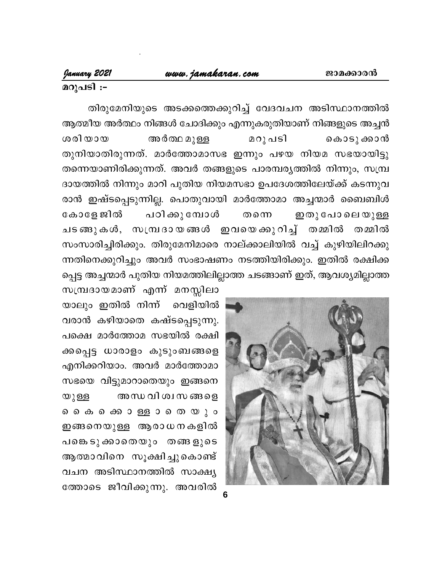## മറുപടി :-

തിരുമേനിയുടെ അടക്കത്തെക്കുറിച്ച് വേദവചന അടിസ്ഥാനത്തിൽ ആത്മീയ അർത്ഥം നിങ്ങൾ ചോദിക്കും എന്നുകരുതിയാണ് നിങ്ങളുടെ അച്ചൻ ശരിയായ അർത്ഥ മുള്ള മറു പടി കൊടു ക്കാൻ തുനിയാതിരുന്നത്. മാർത്തോമാസഭ ഇന്നും പഴയ നിയമ സഭയായിട്ടു തന്നെയാണിരിക്കുന്നത്. അവർ തങ്ങളുടെ പാരമ്പര്യത്തിൽ നിന്നും, സമ്പ്ര ദായത്തിൽ നിന്നും മാറി പുതിയ നിയമസഭാ ഉപദേശത്തിലേയ്ക്ക് കടന്നുവ രാൻ ഇഷ്ടപ്പെടുന്നില്ല. പൊതുവായി മാർത്തോമാ അച്ചന്മാർ ബൈബിൾ പഠിക്കു മ്പോൾ കോളേ ജിൽ ഇതു പോലെ യുള്ള തന്നെ ചടങ്ങുകൾ, സമ്പ്രദായങ്ങൾ ഇവയെക്കുറിച്ച് തമ്മിൽ തമ്മിൽ സംസാരിച്ചിരിക്കും. തിരുമേനിമാരെ നാല്ക്കാലിയിൽ വച്ച് കുഴിയിലിറക്കു ന്നതിനെക്കുറിച്ചും അവർ സംഭാഷണം നടത്തിയിരിക്കും. ഇതിൽ രക്ഷിക്ക പ്പെട്ട അച്ചന്മാർ പുതിയ നിയമത്തിലില്ലാത്ത ചടങ്ങാണ് ഇത്, ആവശ്യമില്ലാത്ത



സമ്പ്രദായമാണ് എന്ന് മനസ്സിലാ യാലും ഇതിൽ നിന്ന് വെളിയിൽ വരാൻ കഴിയാതെ കഷ്ടപ്പെടുന്നു. പക്ഷെ മാർത്തോമ സഭയിൽ രക്ഷി ക്കപ്പെട്ട ധാരാളം കുടുംബങ്ങളെ എനിക്കറിയാം. അവർ മാർത്തോമാ സഭയെ വിട്ടുമാറാതെയും ഇങ്ങനെ അന്ധ വി ശ്വസ ങ്ങളെ യുള്ള ൈകെ കൊള്ളാതെയും ഇങ്ങനെയുള്ള ആരാധനകളിൽ പങ്കെടുക്കാതെയും തങ്ങളുടെ ആത്മാവിനെ സൂക്ഷിച്ചുകൊണ്ട് വചന അടിസ്ഥാനത്തിൽ സാക്ഷ്യ ത്തോടെ ജീവിക്കുന്നു. അവരിൽ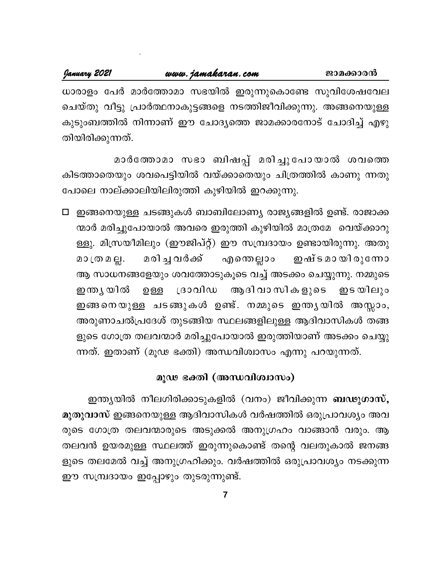ചെയ്തു വീട്ടു പ്രാർത്ഥനാകുട്ടങ്ങളെ നടത്തിജീവിക്കുന്നു. അങ്ങനെയുള്ള കുടുംബത്തിൽ നിന്നാണ് ഈ ചോദ്യത്തെ ജാമക്കാരനോട് ചോദിച്ച് എഴു തിയിരിക്കുന്നത്.

മാർത്തോമാ സഭാ ബിഷപ്പ് മരിച്ചുപോയാൽ ശവത്തെ കിടത്താതെയും ശവപെട്ടിയിൽ വയ്ക്കാതെയും ചിത്രത്തിൽ കാണു ന്നതു പോലെ നാല്ക്കാലിയിലിരുത്തി കുഴിയിൽ ഇറക്കുന്നു.

□ ഇങ്ങനെയുള്ള ചടങ്ങുകൾ ബാബിലോണ്യ രാജ്യങ്ങളിൽ ഉണ്ട്. രാജാക്ക ന്മാർ മരിച്ചുപോയാൽ അവരെ ഇരുത്തി കുഴിയിൽ മാത്രമേ വെയ്ക്കാറു ള്ളു. മിസ്രയീമിലും (ഈജിപ്റ്റ്) ഈ സമ്പ്രദായം ഉണ്ടായിരുന്നു. അതു മരിച്ച വർക്ക് ഇഷ് ട മാ യി രൂന്നോ മാത്രമല്ല. എന്തെല്ലാം ആ സാധനങ്ങളേയും ശവത്തോടുകൂടെ വച്ച് അടക്കം ചെയ്യുന്നു. നമ്മുടെ ഇന്ത്യ യിൽ ദ്രാവിഡ ആദിവാസികളുടെ ற ஒத ഇട യിലും ഇങ്ങനെയുള്ള ചടങ്ങുകൾ ഉണ്ട്. നമ്മുടെ ഇന്ത്യയിൽ അസ്സാം, അരുണാചൽപ്രദേശ് തുടങ്ങിയ സ്ഥലങ്ങളിലുള്ള ആദിവാസികൾ തങ്ങ ളുടെ ഗോത്ര തലവന്മാർ മരിച്ചുപോയാൽ ഇരുത്തിയാണ് അടക്കം ചെയ്യു ന്നത്. ഇതാണ് (മൂഢ ഭക്തി) അന്ധവിശ്വാസം എന്നു പറയുന്നത്.

## മൂഢ ഭക്തി (അന്ധവിശ്വാസം)

ഇന്ത്യയിൽ നീലഗിരിക്കാടുകളിൽ (വനം) ജീവിക്കുന്ന **ബഢുഗാസ്,** മുതുവാസ് ഇങ്ങനെയുള്ള ആദിവാസികൾ വർഷത്തിൽ ഒരുപ്രാവശ്യം അവ രുടെ ഗോത്ര തലവന്മാരുടെ അടുക്കൽ അനുഗ്രഹം വാങ്ങാൻ വരും. ആ തലവൻ ഉയരമുള്ള സ്ഥലത്ത് ഇരുന്നുകൊണ്ട് തന്റെ വലതുകാൽ ജനങ്ങ ളുടെ തലമേൽ വച്ച് അനുഗ്രഹിക്കും. വർഷത്തിൽ ഒരുപ്രാവശ്യം നടക്കുന്ന ഈ സമ്പ്രദായം ഇപ്പോഴും തുടരുന്നുണ്ട്.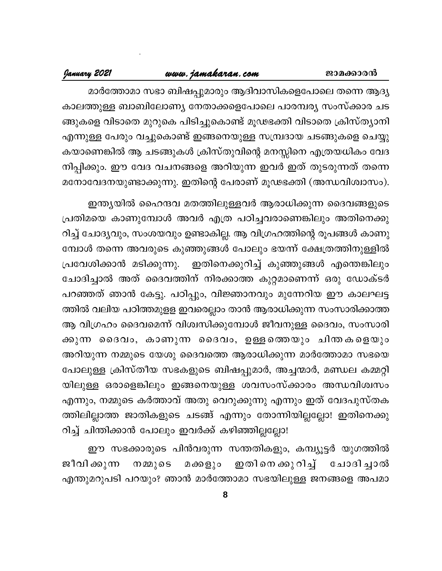#### ജാമക്കാരൻ

## www.jamakaran.com

## January 2021

മാർത്തോമാ സഭാ ബിഷപ്പുമാരും ആദിവാസികളെപോലെ തന്നെ ആദ്യ കാലത്തുള്ള ബാബിലോണ്യ നേതാക്കളെപോലെ പാരമ്പര്യ സംസ്ക്കാര ചട ങ്ങുകളെ വിടാതെ മുറുകെ പിടിച്ചുകൊണ്ട് മൂഢഭക്തി വിടാതെ ക്രിസ്ത്യാനി എന്നുള്ള പേരും വച്ചുകൊണ്ട് ഇങ്ങനെയുള്ള സമ്പ്രദായ ചടങ്ങുകളെ ചെയ്യു കയാണെങ്കിൽ ആ ചടങ്ങുകൾ ക്രിസ്തുവിന്റെ മനസ്സിനെ എത്രയധികം വേദ നിപ്പിക്കും. ഈ വേദ വചനങ്ങളെ അറിയുന്ന ഇവർ ഇത് തുടരുന്നത് തന്നെ മനോവേദനയുണ്ടാക്കുന്നു. ഇതിന്റെ പേരാണ് മൂഢഭക്തി (അന്ധവിശ്വാസം).

ഇന്ത്യയിൽ ഹൈന്ദവ മതത്തിലുള്ളവർ ആരാധിക്കുന്ന ദൈവങ്ങളുടെ പ്രതിമയെ കാണുമ്പോൾ അവർ എത്ര പഠിച്ചവരാണെങ്കിലും അതിനെക്കു റിച്ച് ചോദ്യവും, സംശയവും ഉണ്ടാകില്ല. ആ വിഗ്രഹത്തിന്റെ രൂപങ്ങൾ കാണു മ്പോൾ തന്നെ അവരുടെ കുഞ്ഞുങ്ങൾ പോലും ഭയന്ന് ക്ഷേത്രത്തിനുള്ളിൽ ് ഇതിനെക്കുറിച്ച് കുഞ്ഞുങ്ങൾ എന്തെങ്കിലും പ്രവേശിക്കാൻ മടിക്കുന്നു. ചോദിച്ചാൽ അത് ദൈവത്തിന് നിരക്കാത്ത കുറ്റമാണെന്ന് ഒരു ഡോക്ടർ പറഞ്ഞത് ഞാൻ കേട്ടു. പഠിപ്പും, വിജ്ഞാനവും മുന്നേറിയ ഈ കാലഘട്ട ത്തിൽ വലിയ പഠിത്തമുളള ഇവരെല്ലാം താൻ ആരാധിക്കുന്ന സംസാരിക്കാത്ത ആ വിഗ്രഹം ദൈവമെന്ന് വിശ്വസിക്കുമ്പോൾ ജീവനുള്ള ദൈവം, സംസാരി ക്കുന്ന ദൈവം, കാണുന്ന ദൈവം, ഉള്ളത്തെയും ചിന്തകളെയും അറിയുന്ന നമ്മുടെ യേശു ദൈവത്തെ ആരാധിക്കുന്ന മാർത്തോമാ സഭയെ പോലുള്ള ക്രിസ്തീയ സഭകളുടെ ബിഷപ്പുമാർ, അച്ചന്മാർ, മണ്ഡല കമ്മറ്റി യിലുള്ള ഒരാളെങ്കിലും ഇങ്ങനെയുള്ള ശവസംസ്ക്കാരം അന്ധവിശ്വസം എന്നും, നമ്മുടെ കർത്താവ് അതു വെറുക്കുന്നു എന്നും ഇത് വേദപുസ്തക ത്തിലില്ലാത്ത ജാതികളുടെ ചടങ്ങ് എന്നും തോന്നിയില്ലല്ലോ! ഇതിനെക്കു റിച്ച് ചിന്തിക്കാൻ പോലും ഇവർക്ക് കഴിഞ്ഞില്ലല്ലോ!

ഈ സഭക്കാരുടെ പിൻവരുന്ന സന്തതികളും, കമ്പ്യൂട്ടർ യുഗത്തിൽ ജീവി ക്കുന്ന ഇതിനെക്കുറിച്ച് ചോദിച്ചാൽ നമ്മുടെ മക്കളും എന്തുമറുപടി പറയും? ഞാൻ മാർത്തോമാ സഭയിലുള്ള ജനങ്ങളെ അപമാ

8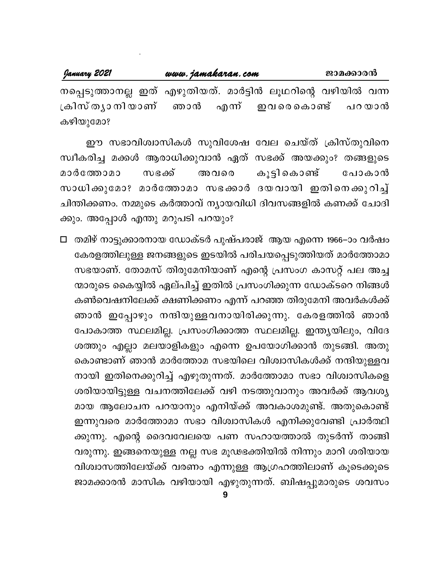| January 2021 | www.jamakaran.com | ജാമക്കാരൻ                                                    |
|--------------|-------------------|--------------------------------------------------------------|
|              |                   | നപ്പെടുത്താനല്ല ഇത് എഴുതിയത്. മാർട്ടിൻ ലൂഥറിന്റെ വഴിയിൽ വന്ന |
|              |                   | ക്രിസ്ത്യാനിയാണ് ഞാൻ എന്ന് ഇവരെകൊണ്ട് പറയാൻ                  |
| കഴിയുമോ?     |                   |                                                              |

ഈ സഭാവിശ്വാസികൾ സുവിശേഷ വേല ചെയ്ത് ക്രിസ്തുവിനെ സ്വീകരിച്ച മക്കൾ ആരാധിക്കുവാൻ ഏത് സഭക്ക് അയക്കും? തങ്ങളുടെ കൂട്ടി കൊണ്ട് മാർത്തോമാ സഭക്ക് അവരെ പോകാൻ സാധിക്കുമോ? മാർത്തോമാ സഭക്കാർ ദയവായി ഇതിനെക്കുറിച്ച് ചിന്തിക്കണം. നമ്മുടെ കർത്താവ് ന്യായവിധി ദിവസങ്ങളിൽ കണക്ക് ചോദി ക്കും. അപ്പോൾ എന്തു മറുപടി പറയും?

□ തമിഴ് നാട്ടുക്കാരനായ ഡോക്ടർ പുഷ്പരാജ് ആയ എന്നെ 1966–ാം വർഷം കേരളത്തിലുള്ള ജനങ്ങളുടെ ഇടയിൽ പരിചയപ്പെടുത്തിയത് മാർത്തോമാ സഭയാണ്. തോമസ് തിരുമേനിയാണ് എന്റെ പ്രസംഗ കാസറ്റ് പല അച്ച ന്മാരുടെ കൈയ്യിൽ ഏല്പിച്ച് ഇതിൽ പ്രസംഗിക്കുന്ന ഡോക്ടറെ നിങ്ങൾ കൺവെഷനിലേക്ക് ക്ഷണിക്കണം എന്ന് പറഞ്ഞ തിരുമേനി അവർകൾക്ക് ഞാൻ ഇപ്പോഴും നന്ദിയുള്ളവനായിരിക്കുന്നു. കേരളത്തിൽ ഞാൻ പോകാത്ത സ്ഥലമില്ല. പ്രസംഗിക്കാത്ത സ്ഥലമില്ല. ഇന്ത്യയിലും, വിദേ ശത്തും എല്ലാ മലയാളികളും എന്നെ ഉപയോഗിക്കാൻ തുടങ്ങി. അതു കൊണ്ടാണ് ഞാൻ മാർത്തോമ സഭയിലെ വിശ്വാസികൾക്ക് നന്ദിയുള്ളവ നായി ഇതിനെക്കുറിച്ച് എഴുതുന്നത്. മാർത്തോമാ സഭാ വിശ്വാസികളെ ശരിയായിട്ടുള്ള വചനത്തിലേക്ക് വഴി നടത്തുവാനും അവർക്ക് ആവശ്യ മായ ആലോചന പറയാനും എനിയ്ക്ക് അവകാശമുണ്ട്. അതുകൊണ്ട് ഇന്നുവരെ മാർത്തോമാ സഭാ വിശ്വാസികൾ എനിക്കുവേണ്ടി പ്രാർത്ഥി ക്കുന്നു. എന്റെ ദൈവവേലയെ പണ സഹായത്താൽ തുടർന്ന് താങ്ങി വരുന്നു. ഇങ്ങനെയുള്ള നല്ല സഭ മൂഢഭക്തിയിൽ നിന്നും മാറി ശരിയായ വിശ്വാസത്തിലേയ്ക്ക് വരണം എന്നുള്ള ആഗ്രഹത്തിലാണ് കൂടെക്കൂടെ ജാമക്കാരൻ മാസിക വഴിയായി എഴുതുന്നത്. ബിഷപ്പുമാരുടെ ശവസം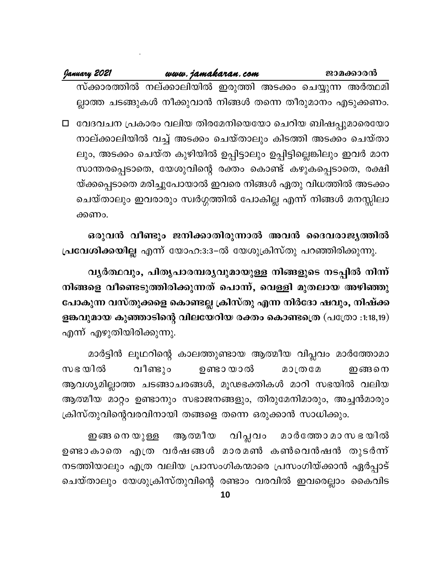| uvw. jamakaran.com |                                                     |  | ജാമക്കാരന് |  |  |
|--------------------|-----------------------------------------------------|--|------------|--|--|
|                    | $\sim 0.002$ $\sim 1.002$ $\sim 0.002$ $\sim 0.000$ |  |            |  |  |

സ്ക്കാരത്തിൽ നല്ക്കാലിയിൽ ഇരുത്തി അടക്കം ചെയ്യുന്ന അർത്ഥമി ല്ലാത്ത ചടങ്ങുകൾ നീക്കുവാൻ നിങ്ങൾ തന്നെ തീരുമാനം എടുക്കണം.

□ വേദവചന പ്രകാരം വലിയ തിരമേനിയെയോ ചെറിയ ബിഷപ്പുമാരെയോ നാല്ക്കാലിയിൽ വച്ച് അടക്കം ചെയ്താലും കിടത്തി അടക്കം ചെയ്താ ലും, അടക്കം ചെയ്ത കുഴിയിൽ ഉപ്പിട്ടാലും ഉപ്പിട്ടില്ലെങ്കിലും ഇവർ മാന സാന്തരപ്പെടാതെ, യേശുവിന്റെ രക്തം കൊണ്ട് കഴുകപ്പെടാതെ, രക്ഷി യ്ക്കപ്പെടാതെ മരിച്ചുപോയാൽ ഇവരെ നിങ്ങൾ ഏതു വിധത്തിൽ അടക്കം ചെയ്താലും ഇവരാരും സ്വർഗ്ഗത്തിൽ പോകില്ല എന്ന് നിങ്ങൾ മനസ്സിലാ ക്കണം.

ഒരുവൻ വീണ്ടും ജനിക്കാതിരുന്നാൽ അവൻ ദൈവരാജ്യത്തിൽ പ്രവേശിക്കയില്ല എന്ന് യോഹ:3:3–ൽ യേശുക്രിസ്തു പറഞ്ഞിരിക്കുന്നു.

വൃർത്ഥവും, പിതൃപാരമ്പര്യവുമായുള്ള നിങ്ങളുടെ നടപ്പിൽ നിന്ന് നിങ്ങളെ വീണ്ടെടുത്തിരിക്കുന്നത് പൊന്ന്, വെള്ളി മുതലായ അഴിഞ്ഞു പോകുന്ന വസ്തുക്കളെ കൊണ്ടല്ല ക്രിസ്തു എന്ന നിർദോ ഷവും, നിഷ്ക്ക ളങ്കവുമായ കുഞ്ഞാടിന്റെ വിലയേറിയ രക്തം കൊണ്ടത്രെ (പത്രോ :1:18,19) എന്ന് എഴുതിയിരിക്കുന്നു.

മാർട്ടിൻ ലൂഥറിന്റെ കാലത്തുണ്ടായ ആത്മീയ വിപ്ലവം മാർത്തോമാ സഭ യിൽ വീണ്ടും ഉണ്ടാ യാൽ ഇങ്ങനെ **200002** ആവശ്യമില്ലാത്ത ചടങ്ങാചരങ്ങൾ, മൂഢഭക്തികൾ മാറി സഭയിൽ വലിയ ആത്മീയ മാറ്റം ഉണ്ടാനും സഭാജനങ്ങളും, തിരുമേനിമാരും, അച്ചൻമാരും ക്രിസ്തുവിന്റെവരവിനായി തങ്ങളെ തന്നെ ഒരുക്കാൻ സാധിക്കും.

വിപ്ലവം ആത്മീയ മാർത്തോ മാ സ ഭ യിൽ ഇങ്ങ നെ യുള്ള ഉണ്ടാകാതെ എത്ര വർഷങ്ങൾ മാരമൺ കൺവെൻഷൻ തുടർന്ന് നടത്തിയാലും എത്ര വലിയ പ്രാസംഗികന്മാരെ പ്രസംഗിയ്ക്കാൻ ഏർപ്പാട് ചെയ്താലും യേശുക്രിസ്തുവിന്റെ രണ്ടാം വരവിൽ ഇവരെല്ലാം കൈവിട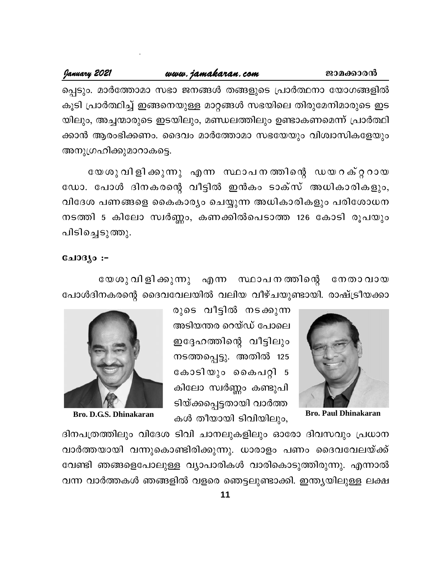#### January 2021 www.jamakaran.com ജാമക്കാരൻ പ്പെടും. മാർത്തോമാ സഭാ ജനങ്ങൾ തങ്ങളുടെ പ്രാർത്ഥനാ യോഗങ്ങളിൽ കൂടി പ്രാർത്ഥിച്ച് ഇങ്ങനെയുള്ള മാറ്റങ്ങൾ സഭയിലെ തിരുമേനിമാരുടെ ഇട യിലും, അച്ചന്മാരുടെ ഇടയിലും, മണ്ഡലത്തിലും ഉണ്ടാകണമെന്ന് പ്രാർത്ഥി ക്കാൻ ആരംഭിക്കണം. ദൈവം മാർത്തോമാ സഭയേയും വിശ്വാസികളേയും അനുഗ്രഹിക്കുമാറാകട്ടെ.

യേശുവിളിക്കുന്നു എന്ന സ്ഥാപനത്തിന്റെ ഡയറക്റ്ററായ ഡോ. പോൾ ദിനകരന്റെ വീട്ടിൽ ഇൻകം ടാക്സ് അധികാരികളും, വിദേശ പണങ്ങളെ കൈകാര്യം ചെയ്യുന്ന അധികാരികളും പരിശോധന നടത്തി 5 കിലോ സ്വർണ്ണം, കണക്കിൽപെടാത്ത 126 കോടി രൂപയും പിടിച്ചെടുത്തു.

#### **பോദ്യം :-**

യേശു വിളിക്കുന്നു എന്ന സ്ഥാപനത്തിന്റെ നേതാവായ പോൾദിനകരന്റെ ദൈവവേലയിൽ വലിയ വീഴ്ചയുണ്ടായി. രാഷ്ട്രീയക്കാ



**Bro. Paul Dhinakaran** 

രുടെ വീട്ടിൽ നടക്കുന്ന അടിയന്തര റെയ്ഡ് പോലെ ഇദ്ദേഹത്തിന്റെ വീട്ടിലും നടത്തപ്പെട്ടു. അതിൽ 125 കോടിയും കൈപറ്റി 5 കിലോ സ്വർണ്ണം കണ്ടുപി ടിയ്ക്കപ്പെട്ടതായി വാർത്ത കൾ തീയായി ടിവിയിലും,



Bro. D.G.S. Dhinakaran

ദിനപത്രത്തിലും വിദേശ ടിവി ചാനലുകളിലും ഓരോ ദിവസവും പ്രധാന വാർത്തയായി വന്നുകൊണ്ടിരിക്കുന്നു. ധാരാളം പണം ദൈവവേലയ്ക്ക് വേണ്ടി ഞങ്ങളെപോലുള്ള വ്യാപാരികൾ വാരികൊടുത്തിരുന്നു. എന്നാൽ വന്ന വാർത്തകൾ ഞങ്ങളിൽ വളരെ ഞെട്ടലുണ്ടാക്കി. ഇന്ത്യയിലുള്ള ലക്ഷ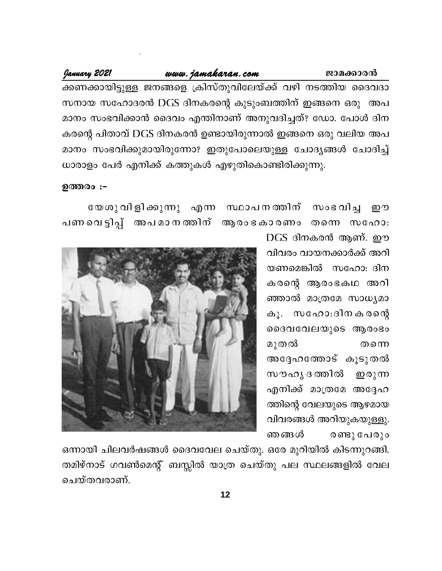#### www.jamakaran.com

January 2021

ക്കണക്കായിട്ടുള്ള ജനങ്ങളെ ക്രിസ്തുവിലേയ്ക്ക് വഴി നടത്തിയ ദൈവദാ സനായ സഹോദരൻ DGS ദിനകരന്റെ കുടുംബത്തിന് ഇങ്ങനെ ഒരു അപ മാനം സംഭവിക്കാൻ ദൈവം എന്തിനാണ് അനുവദിച്ചത്? ഡോ. പോൾ ദിന കരന്റെ പിതാവ് DGS ദിനകരൻ ഉണ്ടായിരുന്നാൽ ഇങ്ങനെ ഒരു വലിയ അപ മാനം സംഭവിക്കുമായിരുന്നോ? ഇതുപോലെയുള്ള ചോദ്യങ്ങൾ ചോദിച്ച് ധാരാളം പേർ എനിക്ക് കത്തുകൾ എഴുതികൊണ്ടിരിക്കുന്നു.

ഉത്തരം :-

യേശുവിളിക്കുന്നു എന്ന സ്ഥാപനത്തിന് സംഭവിച്ച றை പണവെട്ടിപ്പ് അപമാനത്തിന് ആരംഭകാരണം തന്നെ സഹോ:

> DGS ദിനകരൻ ആണ്. ഈ വിവരം വായനക്കാർക്ക് അറി യണമെങ്കിൽ സഹോ: ദിന കരന്റെ ആരംഭകഥ അറി ഞ്ഞാൽ മാത്രമേ സാധ്യമാ കൂ. സഹോ:ദിനകരന്റെ ദൈവവേലയുടെ ആരംഭം മുതൽ തന്നെ അദേഹത്തോട് കൂടുതൽ സൗഹൃ ദ ത്തിൽ **ഇരുന്ന** എനിക്ക് മാത്രമേ അദ്ദേഹ ത്തിന്റെ വേലയുടെ ആഴമായ വിവരങ്ങൾ അറിയുകയുള്ളു. ഞ ങ്ങൾ രണ്ടു പേരും

ജാമക്കാരൻ



ഒന്നായി ചിലവർഷങ്ങൾ ദൈവവേല ചെയ്തു. ഒരേ മുറിയിൽ കിടന്നുറങ്ങി. തമിഴ്നാട് ഗവൺമെന്റ് ബസ്സിൽ യാത്ര ചെയ്തു പല സ്ഥലങ്ങളിൽ വേല ചെയ്തവരാണ്.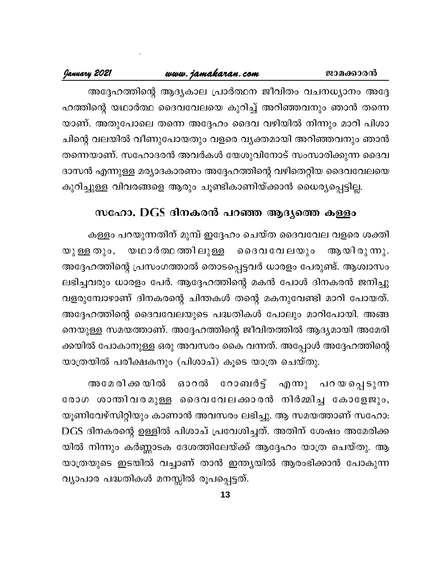അദ്ദേഹത്തിന്റെ ആദ്യകാല പ്രാർത്ഥന ജീവിതം വചനധ്യാനം അദ്ദേ ഹത്തിന്റെ യഥാർത്ഥ ദൈവവേലയെ കുറിച്ച് അറിഞ്ഞവനും ഞാൻ തന്നെ യാണ്. അതുപോലെ തന്നെ അദ്ദേഹം ദൈവ വഴിയിൽ നിന്നും മാറി പിശാ ചിന്റെ വലയിൽ വീണുപോയതും വളരെ വൃക്തമായി അറിഞ്ഞവനും ഞാൻ തന്നെയാണ്. സഹോദരൻ അവർകൾ യേശുവിനോട് സംസാരിക്കുന്ന ദൈവ ദാസൻ എന്നുള്ള മര്യാദകാരണം അദ്ദേഹത്തിന്റെ വഴിതെറ്റിയ ദൈവവേലയെ കുറിച്ചുള്ള വിവരങ്ങളെ ആരും ചൂണ്ടികാണിയ്ക്കാൻ ധൈര്യപ്പെട്ടില്ല.

## സഹോ. DGS ദിനകരൻ പറഞ്ഞ ആദ്യത്തെ കള്ളം

കള്ളം പറയുന്നതിന് മുമ്പ് ഇദ്ദേഹം ചെയ്ത ദൈവവേല വളരെ ശക്തി യഥാർത്ഥത്തിലുള്ള ദൈവവേലയും ആയിരുന്നു. യുള്ള തും, അദ്ദേഹത്തിന്റെ പ്രസംഗത്താൽ തൊടപ്പെട്ടവർ ധാരളം പേരുണ്ട്. ആശ്വാസം ലഭിച്ചവരും ധാരളം പേർ. ആദ്ദേഹത്തിന്റെ മകൻ പോൾ ദിനകരൻ ജനിച്ചു വളരുമ്പോഴാണ് ദിനകരന്റെ ചിന്തകൾ തന്റെ മകനുവേണ്ടി മാറി പോയത്. അദ്ദേഹത്തിന്റെ ദൈവവേലയുടെ പദ്ധതികൾ പോലും മാറിപോയി. അങ്ങ നെയുള്ള സമയത്താണ്. അദ്ദേഹത്തിന്റെ ജീവിതത്തിൽ ആദ്യമായി അമേരി ക്കയിൽ പോകാനുള്ള ഒരു അവസരം കൈ വന്നത്. അപ്പോൾ അദ്ദേഹത്തിന്റെ യാത്രയിൽ പരീക്ഷകനും (പിശാച്) കൂടെ യാത്ര ചെയ്തു.

റോബർട്ട് എന്നു പറയപ്പെടുന്ന അമേ രി ക്ക യിൽ ഓറൽ രോഗ ശാന്തിവരമുള്ള ദൈവവേലക്കാരൻ നിർമ്മിച്ച കോളേജും, യൂണിവേഴ്സിറ്റിയും കാണാൻ അവസരം ലഭിച്ചു. ആ സമയത്താണ് സഹോ: DGS ദിനകരന്റെ ഉള്ളിൽ പിശാച് പ്രവേശിച്ചത്. അതിന് ശേഷം അമേരിക്ക യിൽ നിന്നും കർണ്ണാടക ദേശത്തിലേയ്ക്ക് ആദ്ദേഹം യാത്ര ചെയ്തു. ആ യാത്രയുടെ ഇടയിൽ വച്ചാണ് താൻ ഇന്ത്യയിൽ ആരംഭിക്കാൻ പോകുന്ന വ്യാപാര പദ്ധതികൾ മനസ്സിൽ രൂപപ്പെട്ടത്.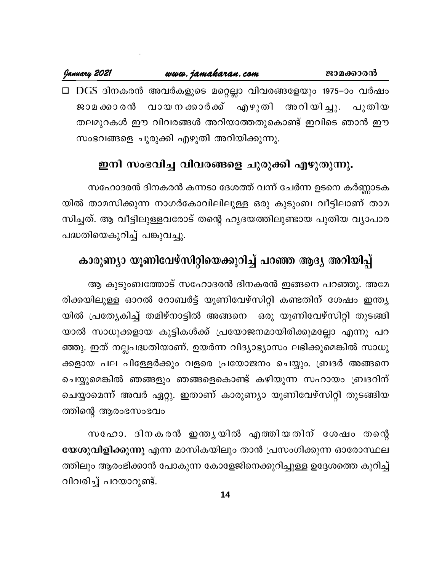#### January 2021 www.jamakaran.com ജാമക്കാരൻ □ DGS ദിനകരൻ അവർകളുടെ മറ്റെല്ലാ വിവരങ്ങളേയും 1975−ാം വർഷം വായനക്കാർക്ക് എഴുതി ജാമ ക്കാ രൻ അറിയിച്ചു. പുതിയ തലമുറകൾ ഈ വിവരങ്ങൾ അറിയാത്തതുകൊണ്ട് ഇവിടെ ഞാൻ ഈ സംഭവങ്ങളെ ചുരുക്കി എഴുതി അറിയിക്കുന്നു.

## ഇനി സംഭവിച്ച വിവരങ്ങളെ ചുരുക്കി എഴുതുന്നു.

സഹോദരൻ ദിനകരൻ കന്നടാ ദേശത്ത് വന്ന് ചേർന്ന ഉടനെ കർണ്ണാടക യിൽ താമസിക്കുന്ന നാഗർകോവിലിലുള്ള ഒരു കുടുംബ വീട്ടിലാണ് താമ സിച്ചത്. ആ വീട്ടിലുള്ളവരോട് തന്റെ ഹൃദയത്തിലുണ്ടായ പുതിയ വ്യാപാര പദ്ധതിയെകുറിച്ച് പങ്കുവച്ചു.

## കാരുണ്യാ യൂണിവേഴ്സിറ്റിയെക്കുറിച്ച് പറഞ്ഞ ആദ്യ അറിയിപ്പ്

ആ കുടുംബത്തോട് സഹോദരൻ ദിനകരൻ ഇങ്ങനെ പറഞ്ഞു. അമേ രിക്കയിലുള്ള ഓറൽ റോബർട്ട് യൂണിവേഴ്സിറ്റി കണ്ടതിന് ശേഷം ഇന്ത്യ യിൽ പ്രത്യേകിച്ച് തമിഴ്നാട്ടിൽ അങ്ങനെ ഒരു യൂണിവേഴ്സിറ്റി തുടങ്ങി യാൽ സാധുക്കളായ കുട്ടികൾക്ക് പ്രയോജനമായിരിക്കുമല്ലോ എന്നു പറ ഞ്ഞു. ഇത് നല്ലപദ്ധതിയാണ്. ഉയർന്ന വിദ്യാഭ്യാസം ലഭിക്കുമെങ്കിൽ സാധു ക്കളായ പല പിള്ളേർക്കും വളരെ പ്രയോജനം ചെയ്യും. ബ്രദർ അങ്ങനെ ചെയ്യുമെങ്കിൽ ഞങ്ങളും ഞങ്ങളെകൊണ്ട് കഴിയുന്ന സഹായം ബ്രദറിന് ചെയ്യാമെന്ന് അവർ ഏറ്റു. ഇതാണ് കാരുണ്യാ യൂണിവേഴ്സിറ്റി തുടങ്ങിയ ത്തിന്റെ ആരംഭസംഭവം

സഹോ. ദിനകരൻ ഇന്തൃയിൽ എത്തിയതിന് ശേഷം തന്റെ യേശുവിളിക്കുന്നു എന്ന മാസികയിലും താൻ പ്രസംഗിക്കുന്ന ഓരോസ്ഥല ത്തിലും ആരംഭിക്കാൻ പോകുന്ന കോളേജിനെക്കുറിച്ചുള്ള ഉദ്ദേശത്തെ കുറിച്ച് വിവരിച്ച് പറയാറുണ്ട്.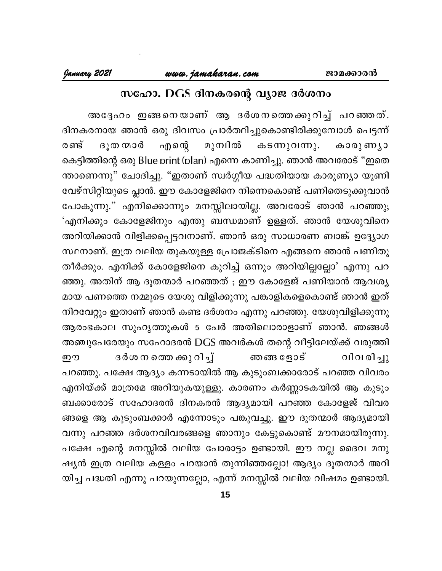## സഹോ. DGS ദിനകരന്റെ വ്യാജ ദർശനം

അദ്ദേഹം ഇങ്ങനെയാണ് ആ ദർശനത്തെക്കുറിച്ച് പറഞ്ഞത്. ദിനകരനായ ഞാൻ ഒരു ദിവസം പ്രാർത്ഥിച്ചുകൊണ്ടിരിക്കുമ്പോൾ പെട്ടന്ന് മുമ്പിൽ ദൂത ന്മാർ എന്റെ രണ്ട് കടന്നുവന്നു. കാരു ണ്യാ കെട്ടിത്തിന്റെ ഒരു Blue print (plan) എന്നെ കാണിച്ചു. ഞാൻ അവരോട് "ഇതെ ന്താണെന്നു" ചോദിച്ചു. "ഇതാണ് സ്വർഗ്ഗീയ പദ്ധതിയായ കാരുണ്യാ യൂണി വേഴ്സിറ്റിയുടെ പ്ലാൻ. ഈ കോളേജിനെ നിന്നെകൊണ്ട് പണിതെടുക്കുവാൻ പോകുന്നു." എനിക്കൊന്നും മനസ്സിലായില്ല. അവരോട് ഞാൻ പറഞ്ഞു; 'എനിക്കും കോളേജിനും എന്തു ബന്ധമാണ് ഉള്ളത്. ഞാൻ യേശുവിനെ അറിയിക്കാൻ വിളിക്കപ്പെട്ടവനാണ്. ഞാൻ ഒരു സാധാരണ ബാങ്ക് ഉദ്ദ്യോഗ സ്ഥനാണ്. ഇത്ര വലിയ തുകയുള്ള പ്രോജക്ടിനെ എങ്ങനെ ഞാൻ പണിതു തീർക്കും. എനിക്ക് കോളേജിനെ കുറിച്ച് ഒന്നും അറിയില്ലല്ലോ' എന്നു പറ ഞ്ഞു. അതിന് ആ ദൂതന്മാർ പറഞ്ഞത് ; ഈ കോളേജ് പണിയാൻ ആവശ്യ മായ പണത്തെ നമ്മുടെ യേശു വിളിക്കുന്നു പങ്കാളികളെകൊണ്ട് ഞാൻ ഇത് നിറവേറ്റും ഇതാണ് ഞാൻ കണ്ട ദർശനം എന്നു പറഞ്ഞു. യേശുവിളിക്കുന്നു ആരംഭകാല സുഹൃത്തുകൾ 5 പേർ അതിലൊരാളാണ് ഞാൻ. ഞങ്ങൾ അഞ്ചുപേരേയും സഹോദരൻ DGS അവർകൾ തന്റെ വീട്ടിലേയ്ക്ക് വരുത്തി ദർശ ന തെ ക്കു റിച്ച് വിവരിച്ചു ഈ ഞങ്ങ ളോട് പറഞ്ഞു. പക്ഷേ ആദ്യം കന്നടായിൽ ആ കുടുംബക്കാരോട് പറഞ്ഞ വിവരം എനിയ്ക്ക് മാത്രമേ അറിയുകയുള്ളു. കാരണം കർണ്ണാടകയിൽ ആ കുടും ബക്കാരോട് സഹോദരൻ ദിനകരൻ ആദ്യമായി പറഞ്ഞ കോളേജ് വിവര ങ്ങളെ ആ കുടുംബക്കാർ എന്നോടും പങ്കുവച്ചു. ഈ ദൂതന്മാർ ആദ്യമായി വന്നു പറഞ്ഞ ദർശനവിവരങ്ങളെ ഞാനും കേട്ടുകൊണ്ട് മൗനമായിരുന്നു. പക്ഷേ എന്റെ മനസ്സിൽ വലിയ പോരാട്ടം ഉണ്ടായി. ഈ നല്ല ദൈവ മനു ഷ്യൻ ഇത്ര വലിയ കള്ളം പറയാൻ തുന്നിഞ്ഞല്ലോ! ആദ്യം ദൂതന്മാർ അറി യിച്ച പദ്ധതി എന്നു പറയുന്നല്ലോ, എന്ന് മനസ്സിൽ വലിയ വിഷമം ഉണ്ടായി.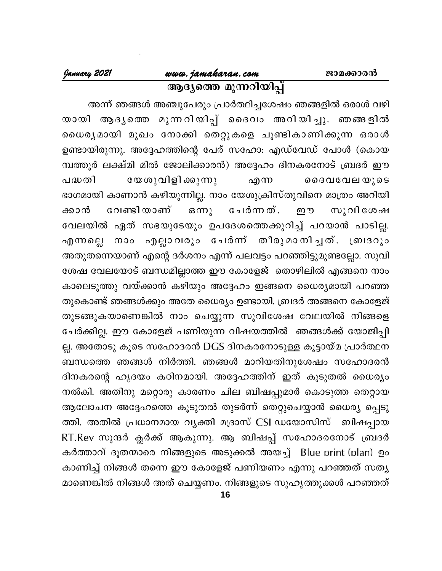## അന്ന് ഞങ്ങൾ അഞ്ചുപേരും പ്രാർത്ഥിച്ചശേഷം ഞങ്ങളിൽ ഒരാൾ വഴി യായി ആദൃത്തെ മുന്നറിയിപ്പ് ദൈവം അറിയിച്ചു. ഞങ്ങളിൽ ധൈര്യമായി മുഖം നോക്കി തെറ്റുകളെ ചൂണ്ടികാണിക്കുന്ന ഒരാൾ ഉണ്ടായിരുന്നു. അദ്ദേഹത്തിന്റെ പേര് സഹോ: എഡ്വേഡ് പോൾ (കൊയ മ്പത്തൂർ ലക്ഷ്മി മിൽ ജോലിക്കാരൻ) അദ്ദേഹം ദിനകരനോട് ബ്രദർ ഈ യേശുവിളി ക്കുന്നു എന്ന ചേർന്നത്. വേണ്ടി യാണ്  $\mathbf{G}$  ന്നു ஹு

പദ്ധതി ദൈവവേലയുടെ ഭാഗമായി കാണാൻ കഴിയുന്നില്ല. നാം യേശുക്രിസ്തുവിനെ മാത്രം അറിയി സുവിശേഷ ക്കാൻ വേലയിൽ ഏത് സഭയുടേയും ഉപദേശത്തെക്കുറിച്ച് പറയാൻ പാടില്ല. എന്നല്ലെ നാം എല്ലാവരും ചേർന്ന് തീരുമാനിച്ചത്. ബ്രദറും അതുതന്നെയാണ് എന്റെ ദർശനം എന്ന് പലവട്ടം പറഞ്ഞിട്ടുമുണ്ടല്ലോ. സുവി ശേഷ വേലയോട് ബന്ധമില്ലാത്ത ഈ കോളേജ് തൊഴിലിൽ എങ്ങനെ നാം കാലെടുത്തു വയ്ക്കാൻ കഴിയും അദ്ദേഹം ഇങ്ങനെ ധൈര്യമായി പറഞ്ഞ തുകൊണ്ട് ഞങ്ങൾക്കും അതേ ധൈര്യം ഉണ്ടായി. ബ്രദർ അങ്ങനെ കോളേജ് തുടങ്ങുകയാണെങ്കിൽ നാം ചെയ്യുന്ന സുവിശേഷ വേലയിൽ നിങ്ങളെ ചേർക്കില്ല. ഈ കോളേജ് പണിയുന്ന വിഷയത്തിൽ ഞങ്ങൾക്ക് യോജിപ്പി ല്ല. അതോടു കൂടെ സഹോദരൻ DGS ദിനകരനോടുള്ള കൂട്ടായ്മ പ്രാർത്ഥന ബന്ധത്തെ ഞങ്ങൾ നിർത്തി. ഞങ്ങൾ മാറിയതിനുശേഷം സഹോദരൻ ദിനകരന്റെ ഹൃദയം കഠിനമായി. അദ്ദേഹത്തിന് ഇത് കൂടുതൽ ധൈര്യം നൽകി. അതിനു മറ്റൊരു കാരണം ചില ബിഷപ്പുമാർ കൊടുത്ത തെറ്റായ ആലോചന അദ്ദേഹത്തെ കൂടുതൽ തുടർന്ന് തെറ്റുചെയ്യാൻ ധൈര്യ പ്പെടു ത്തി. അതിൽ പ്രധാനമായ വ്യക്തി മദ്രാസ് CSI ഡയോസിസ് ബിഷപ്പായ RT.Rev സുന്ദർ ക്ലർക്ക് ആകുന്നു. ആ ബിഷപ്പ് സഹോദരനോട് ബ്രദർ കർത്താവ് ദൂതന്മാരെ നിങ്ങളുടെ അടുക്കൽ അയച്ച് Blue print (plan) ഉം കാണിച്ച് നിങ്ങൾ തന്നെ ഈ കോളേജ് പണിയണം എന്നു പറഞ്ഞത് സത്യ മാണെങ്കിൽ നിങ്ങൾ അത് ചെയ്യണം. നിങ്ങളുടെ സുഹൃത്തുക്കൾ പറഞ്ഞത്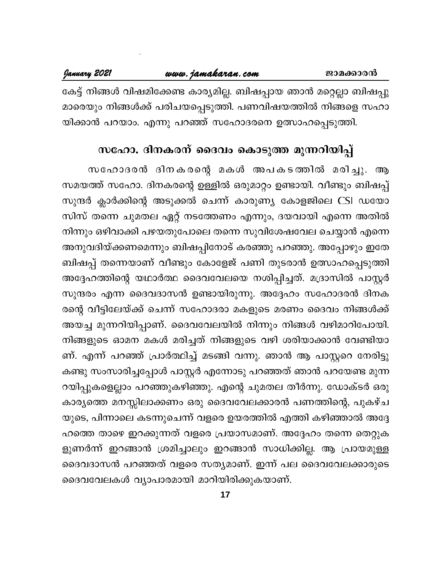## <u>www.jamakaran.com</u>

കേട്ട് നിങ്ങൾ വിഷമിക്കേണ്ട കാര്യമില്ല. ബിഷപ്പായ ഞാൻ മറ്റെല്ലാ ബിഷപ്പു മാരെയും നിങ്ങൾക്ക് പരിചയപ്പെടുത്തി. പണവിഷയത്തിൽ നിങ്ങളെ സഹാ യിക്കാൻ പറയാം. എന്നു പറഞ്ഞ് സഹോദരനെ ഉത്സാഹപ്പെടുത്തി.

## സഹോ. ദിനകരന് ദൈവം കൊടുത്ത മുന്നറിയിപ്പ്

സഹോദരൻ ദിനകരന്റെ മകൾ അപകടത്തിൽ മരിച്ചു. സമയത്ത് സഹോ. ദിനകരന്റെ ഉള്ളിൽ ഒരുമാറ്റം ഉണ്ടായി. വീണ്ടും ബിഷപ്പ് സുന്ദർ ക്ലാർക്കിന്റെ അടുക്കൽ ചെന്ന് കാരുണ്യ കോളജിലെ CSI ഡയോ സിസ് തന്നെ ചുമതല ഏറ്റ് നടത്തേണം എന്നും, ദയവായി എന്നെ അതിൽ നിന്നും ഒഴിവാക്കി പഴയതുപോലെ തന്നെ സുവിശേഷവേല ചെയ്യാൻ എന്നെ അനുവദിയ്ക്കണമെന്നും ബിഷപ്പിനോട് കരഞ്ഞു പറഞ്ഞു. അപ്പോഴും ഇതേ ബിഷപ്പ് തന്നെയാണ് വീണ്ടും കോളേജ് പണി തുടരാൻ ഉത്സാഹപ്പെടുത്തി അദ്ദേഹത്തിന്റെ യഥാർത്ഥ ദൈവവേലയെ നശിപ്പിച്ചത്. മദ്രാസിൽ പാസ്റ്റർ സുന്ദരം എന്ന ദൈവദാസൻ ഉണ്ടായിരുന്നു. അദ്ദേഹം സഹോദരൻ ദിനക രന്റെ വീട്ടിലേയ്ക്ക് ചെന്ന് സഹോദരാ മകളുടെ മരണം ദൈവം നിങ്ങൾക്ക് അയച്ച മുന്നറിയിപ്പാണ്. ദൈവവേലയിൽ നിന്നും നിങ്ങൾ വഴിമാറിപോയി. നിങ്ങളുടെ ഓമന മകൾ മരിച്ചത് നിങ്ങളുടെ വഴി ശരിയാക്കാൻ വേണ്ടിയാ ണ്. എന്ന് പറഞ്ഞ് പ്രാർത്ഥിച്ച് മടങ്ങി വന്നു. ഞാൻ ആ പാസ്റ്ററെ നേരിട്ടു കണ്ടു സംസാരിച്ചപ്പോൾ പാസ്റ്റർ എന്നോടു പറഞ്ഞത് ഞാൻ പറയേണ്ട മുന്ന റയിപ്പുകളെല്ലാം പറഞ്ഞുകഴിഞ്ഞു. എന്റെ ചുമതല തീർന്നു. ഡോക്ടർ ഒരു കാര്യത്തെ മനസ്സിലാക്കണം ഒരു ദൈവവേലക്കാരൻ പണത്തിന്റെ, പുകഴ്ച യുടെ, പിന്നാലെ കടന്നുചെന്ന് വളരെ ഉയരത്തിൽ എത്തി കഴിഞ്ഞാൽ അദ്ദേ ഹത്തെ താഴെ ഇറക്കുന്നത് വളരെ പ്രയാസമാണ്. അദ്ദേഹം തന്നെ തെറ്റുക ളുണർന്ന് ഇറങ്ങാൻ ശ്രമിച്ചാലും ഇറങ്ങാൻ സാധിക്കില്ല. ആ പ്രായമുള്ള ദൈവദാസൻ പറഞ്ഞത് വളരെ സത്യമാണ്. ഇന്ന് പല ദൈവവേലക്കാരുടെ ദൈവവേലകൾ വ്യാപാരമായി മാറിയിരിക്കുകയാണ്.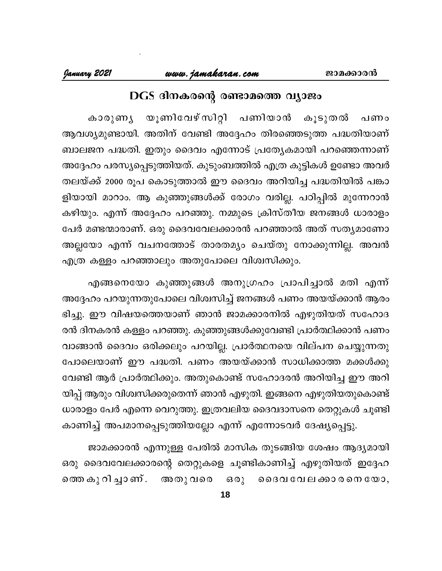## DGS ദിനകരന്റെ രണ്ടാമത്തെ വ്യാജം

യൂണിവേഴ് സിറ്റി പണിയാൻ കൂടുതൽ കാരുണ്യ പണം ആവശ്യമുണ്ടായി. അതിന് വേണ്ടി അദ്ദേഹം തിരഞ്ഞെടുത്ത പദ്ധതിയാണ് ബാലജന പദ്ധതി. ഇതും ദൈവം എന്നോട് പ്രത്യേകമായി പറഞ്ഞെന്നാണ് അദ്ദേഹം പരസ്യപ്പെടുത്തിയത്. കുടുംബത്തിൽ എത്ര കുട്ടികൾ ഉണ്ടോ അവർ തലയ്ക്ക് 2000 രൂപ കൊടുത്താൽ ഈ ദൈവം അറിയിച്ച പദ്ധതിയിൽ പങ്കാ ളിയായി മാറാം. ആ കുഞ്ഞുങ്ങൾക്ക് രോഗം വരില്ല. പഠിപ്പിൽ മുന്നേറാൻ കഴിയും. എന്ന് അദ്ദേഹം പറഞ്ഞു. നമ്മുടെ ക്രിസ്തീയ ജനങ്ങൾ ധാരാളം പേർ മണ്ടന്മാരാണ്. ഒരു ദൈവവേലക്കാരൻ പറഞ്ഞാൽ അത് സത്യമാണോ അല്ലയോ എന്ന് വചനത്തോട് താരതമ്യം ചെയ്തു നോക്കുന്നില്ല. അവൻ എത്ര കള്ളം പറഞ്ഞാലും അതുപോലെ വിശ്വസിക്കും.

എങ്ങനെയോ കുഞ്ഞുങ്ങൾ അനുഗ്രഹം പ്രാപിച്ചാൽ മതി എന്ന് അദ്ദേഹം പറയുന്നതുപോലെ വിശ്വസിച്ച് ജനങ്ങൾ പണം അയയ്ക്കാൻ ആരം ഭിച്ചു. ഈ വിഷയത്തെയാണ് ഞാൻ ജാമക്കാരനിൽ എഴുതിയത് സഹോദ രൻ ദിനകരൻ കള്ളം പറഞ്ഞു. കുഞ്ഞുങ്ങൾക്കുവേണ്ടി പ്രാർത്ഥിക്കാൻ പണം വാങ്ങാൻ ദൈവം ഒരിക്കലും പറയില്ല. പ്രാർത്ഥനയെ വില്പന ചെയ്യുന്നതു പോലെയാണ് ഈ പദ്ധതി. പണം അയയ്ക്കാൻ സാധിക്കാത്ത മക്കൾക്കു വേണ്ടി ആർ പ്രാർത്ഥിക്കും. അതുകൊണ്ട് സഹോദരൻ അറിയിച്ച ഈ അറി യിപ്പ് ആരും വിശ്വസിക്കരുതെന്ന് ഞാൻ എഴുതി. ഇങ്ങനെ എഴുതിയതുകൊണ്ട് ധാരാളം പേർ എന്നെ വെറുത്തു. ഇത്രവലിയ ദൈവദാസനെ തെറ്റുകൾ ചൂണ്ടി കാണിച്ച് അപമാനപ്പെടുത്തിയല്ലോ എന്ന് എന്നോടവർ ദേഷ്യപ്പെട്ടു.

ജാമക്കാരൻ എന്നുള്ള പേരിൽ മാസിക തുടങ്ങിയ ശേഷം ആദ്യമായി ഒരു ദൈവവേലക്കാരന്റെ തെറ്റുകളെ ചൂണ്ടികാണിച്ച് എഴുതിയത് ഇദ്ദേഹ തെെ കു റി ച്ചാ ണ് . അതു വരെ ഒരു ദൈവ വേലക്കാരനെയോ,

18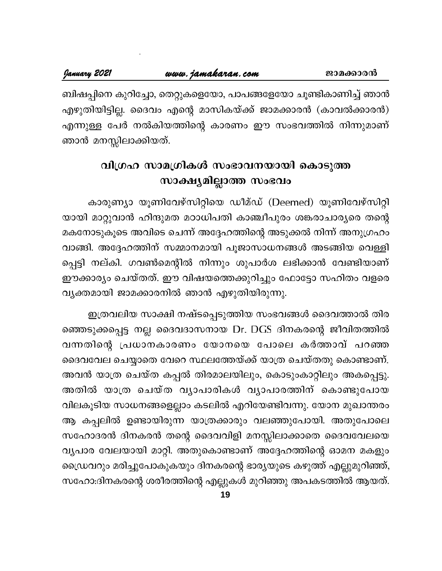ബിഷപ്പിനെ കുറിച്ചോ, തെറ്റുകളെയോ, പാപങ്ങളേയോ ചൂണ്ടികാണിച്ച് ഞാൻ എഴുതിയിട്ടില്ല. ദൈവം എന്റെ മാസികയ്ക്ക് ജാമക്കാരൻ (കാവൽക്കാരൻ) എന്നുള്ള പേർ നൽകിയത്തിന്റെ കാരണം ഈ സംഭവത്തിൽ നിന്നുമാണ് ഞാൻ മനസ്സിലാക്കിയത്.

## വിഗ്രഹ സാമഗ്രികൾ സംഭാവനയായി കൊടുത്ത സാക്ഷ്യമില്ലാത്ത സംഭവം

കാരുണ്യാ യൂണിവേഴ്സിറ്റിയെ ഡീമ്ഡ് (Deemed) യൂണിവേഴ്സിറ്റി യായി മാറ്റുവാൻ ഹിന്ദുമത മഠാധിപതി കാഞ്ചീപുരം ശങ്കരാചാര്യരെ തന്റെ മകനോടുകൂടെ അവിടെ ചെന്ന് അദ്ദേഹത്തിന്റെ അടുക്കൽ നിന്ന് അനുഗ്രഹം വാങ്ങി. അദ്ദേഹത്തിന് സമ്മാനമായി പൂജാസാധനങ്ങൾ അടങ്ങിയ വെള്ളി പ്പെട്ടി നല്കി. ഗവൺമെന്റിൽ നിന്നും ശുപാർശ ലഭിക്കാൻ വേണ്ടിയാണ് ഈക്കാര്യം ചെയ്തത്. ഈ വിഷയത്തെക്കുറിച്ചും ഫോട്ടോ സഹിതം വളരെ വ്യക്തമായി ജാമക്കാരനിൽ ഞാൻ എഴുതിയിരുന്നു.

ഇത്രവലിയ സാക്ഷി നഷ്ടപ്പെടുത്തിയ സംഭവങ്ങൾ ദൈവത്താൽ തിര ഞ്ഞെടുക്കപ്പെട്ട നല്ല ദൈവദാസനായ Dr. DGS ദിനകരന്റെ ജീവിതത്തിൽ വന്നതിന്റെ പ്രധാനകാരണം യോനയെ പോലെ കർത്താവ് പറഞ്ഞ ദൈവവേല ചെയ്യാതെ വേറെ സ്ഥലത്തേയ്ക്ക് യാത്ര ചെയ്തതു കൊണ്ടാണ്. അവൻ യാത്ര ചെയ്ത കപ്പൽ തിരമാലയിലും, കൊടുംകാറ്റിലും അകപ്പെട്ടു. അതിൽ യാത്ര ചെയ്ത വ്യാപാരികൾ വ്യാപാരത്തിന് കൊണ്ടുപോയ വിലകൂടിയ സാധനങ്ങളെല്ലാം കടലിൽ എറിയേണ്ടിവന്നു. യോന മുഖാന്തരം ആ കപ്പലിൽ ഉണ്ടായിരുന്ന യാത്രക്കാരും വലഞ്ഞുപോയി. അതുപോലെ സഹോദരൻ ദിനകരൻ തന്റെ ദൈവവിളി മനസ്സിലാക്കാതെ ദൈവവേലയെ വ്യപാര വേലയായി മാറ്റി. അതുകൊണ്ടാണ് അദ്ദേഹത്തിന്റെ ഓമന മകളും ഡ്രൈവറും മരിച്ചുപോകുകയും ദിനകരന്റെ ഭാര്യയുടെ കഴുത്ത് എല്ലുമുറിഞ്ഞ്, സഹോ:ദിനകരന്റെ ശരീരത്തിന്റെ എല്ലുകൾ മുറിഞ്ഞു അപകടത്തിൽ ആയത്.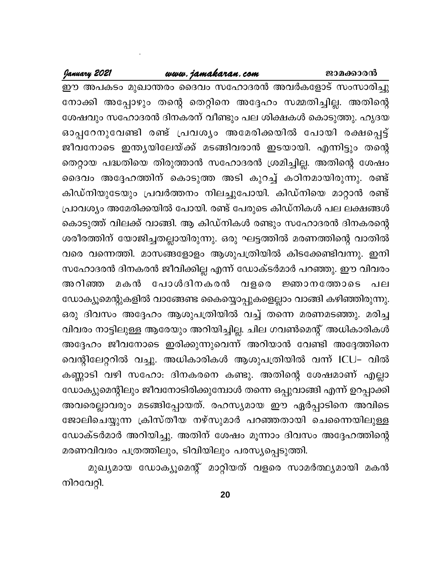ജാമക്കാരൻ

## <u>www.jamakaran.com</u>

January 2021

ഈ അപകടം മുഖാന്തരം ദൈവം സഹോദരൻ അവർകളോട് സംസാരിച്ചു നോക്കി അപ്പോഴും തന്റെ തെറ്റിനെ അദ്ദേഹം സമ്മതിച്ചില്ല. അതിന്റെ ശേഷവും സഹോദരൻ ദിനകരന് വീണ്ടും പല ശിക്ഷകൾ കൊടുത്തു. ഹൃദയ ഓപ്പറേനുവേണ്ടി രണ്ട് പ്രവശ്യം അമേരിക്കയിൽ പോയി രക്ഷപ്പെട്ട് ജീവനോടെ ഇന്ത്യയിലേയ്ക്ക് മടങ്ങിവരാൻ ഇടയായി. എന്നിട്ടും തന്റെ തെറ്റായ പദ്ധതിയെ തിരുത്താൻ സഹോദരൻ ശ്രമിച്ചില്ല. അതിന്റെ ശേഷം ദൈവം അദ്ദേഹത്തിന് കൊടുത്ത അടി കുറച്ച് കഠിനമായിരുന്നു. രണ്ട് കിഡ്നിയുടേയും പ്രവർത്തനം നിലച്ചുപോയി. കിഡ്നിയെ മാറ്റാൻ രണ്ട് പ്രാവശ്യം അമേരിക്കയിൽ പോയി. രണ്ട് പേരുടെ കിഡ്നികൾ പല ലക്ഷങ്ങൾ കൊടുത്ത് വിലക്ക് വാങ്ങി. ആ കിഡ്നികൾ രണ്ടും സഹോദരൻ ദിനകരന്റെ ശരീരത്തിന് യോജിച്ചതല്ലായിരുന്നു. ഒരു ഘട്ടത്തിൽ മരണത്തിന്റെ വാതിൽ വരെ വന്നെത്തി. മാസങ്ങളോളം ആശുപത്രിയിൽ കിടക്കേണ്ടിവന്നു. ഇനി സഹോദരൻ ദിനകരൻ ജീവിക്കില്ല എന്ന് ഡോക്ടർമാർ പറഞ്ഞു. ഈ വിവരം മകൻ പോൾദിനകരൻ വളരെ അറിഞ്ഞ ജ്ഞാനത്തോടെ പല ഡോക്യൂമെന്റുകളിൽ വാങ്ങേണ്ട കൈയ്യൊപ്പുകളെല്ലാം വാങ്ങി കഴിഞ്ഞിരുന്നു. ഒരു ദിവസം അദ്ദേഹം ആശുപത്രിയിൽ വച്ച് തന്നെ മരണമടഞ്ഞു. മരിച്ച വിവരം നാട്ടിലുള്ള ആരേയും അറിയിച്ചില്ല. ചില ഗവൺമെന്റ് അധികാരികൾ അദ്ദേഹം ജീവനോടെ ഇരിക്കുന്നുവെന്ന് അറിയാൻ വേണ്ടി അദ്ദേത്തിനെ വെന്റിലേറ്ററിൽ വച്ചു. അധികാരികൾ ആശുപത്രിയിൽ വന്ന് ICU- വിൽ കണ്ണാടി വഴി സഹോ: ദിനകരനെ കണ്ടു. അതിന്റെ ശേഷമാണ് എല്ലാ ഡോക്യുമെന്റിലും ജീവനോടിരിക്കുമ്പോൾ തന്നെ ഒപ്പുവാങ്ങി എന്ന് ഉറപ്പാക്കി അവരെല്ലാവരും മടങ്ങിപ്പോയത്. രഹസ്യമായ ഈ ഏർപ്പാടിനെ അവിടെ ജോലിചെയ്യുന്ന ക്രിസ്തീയ നഴ്സുമാർ പറഞ്ഞതായി ചെന്നൈയിലുള്ള ഡോക്ടർമാർ അറിയിച്ചു. അതിന് ശേഷം മൂന്നാം ദിവസം അദ്ദേഹത്തിന്റെ മരണവിവരം പത്രത്തിലും, ടിവിയിലും പരസ്യപ്പെടുത്തി.

മുഖ്യമായ ഡോക്യൂമെന്റ് മാറ്റിയത് വളരെ സാമർത്ഥ്യമായി മകൻ നിറവേറ്റി.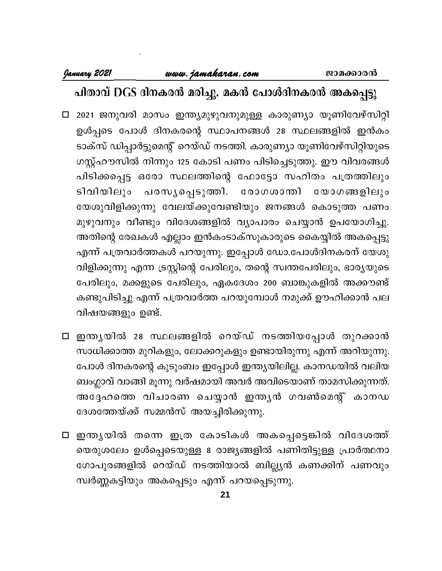## പിതാവ് DGS ദിനകരൻ മരിച്ചു. മകൻ പോൾദിനകരൻ അകപ്പെട്ടു

- □ 2021 ജനുവരി മാസം ഇന്ത്യമുഴുവനുമുള്ള കാരുണ്യാ യൂണിവേഴ്സിറ്റി ഉൾപ്പടെ പോൾ ദിനകരന്റെ സ്ഥാപനങ്ങൾ 28 സ്ഥലങ്ങളിൽ ഇൻകം ടാക്സ് ഡിപ്പാർട്ടുമെന്റ് റെയ്ഡ് നടത്തി. കാരുണ്യാ യൂണിവേഴ്സിറ്റിയുടെ ഗസ്റ്റ്ഹൗസിൽ നിന്നും 125 കോടി പണം പിടിച്ചെടുത്തു. ഈ വിവരങ്ങൾ പിടിക്കപ്പെട്ട ഒരോ സ്ഥലത്തിന്റെ ഫോട്ടോ സഹിതം പത്രത്തിലും ടിവിയിലും പരസൃപ്പെടുത്തി. രോഗശാന്തി യോഗങ്ങളിലും യേശുവിളിക്കുന്നു വേലയ്ക്കുവേണ്ടിയും ജനങ്ങൾ കൊടുത്ത പണം മുഴുവനും വീണ്ടും വിദേശങ്ങളിൽ വ്യാപാരം ചെയ്യാൻ ഉപയോഗിച്ചു. അതിന്റെ രേഖകൾ എല്ലാം ഇൻകംടാക്സുകാരുടെ കൈയ്യിൽ അകപ്പെട്ടു എന്ന് പത്രവാർത്തകൾ പറയുന്നു. ഇപ്പോൾ ഡോ.പോൾദിനകരന് യേശു വിളിക്കുന്നു എന്ന ട്രസ്റ്റിന്റെ പേരിലും, തന്റെ സ്വന്തപേരിലും, ഭാര്യയുടെ പേരിലും, മക്കളുടെ പേരിലും, ഏകദേശം 200 ബാങ്കുകളിൽ അക്കൗണ്ട് കണ്ടുപിടിച്ചു എന്ന് പത്രവാർത്ത പറയുമ്പോൾ നമുക്ക് ഊഹിക്കാൻ പല വിഷയങ്ങളും ഉണ്ട്.
- □ ഇന്തൃയിൽ 28 സ്ഥലങ്ങളിൽ റെയ്ഡ് നടത്തിയപ്പോൾ തുറക്കാൻ സാധിക്കാത്ത മുറികളും, ലോക്കറുകളും ഉണ്ടായിരുന്നു എന്ന് അറിയുന്നു. പോൾ ദിനകരന്റെ കുടുംബം ഇപ്പോൾ ഇന്ത്യയിലില്ല. കാനഡയിൽ വലിയ ബംഗ്ലാവ് വാങ്ങി മൂന്നു വർഷമായി അവർ അവിടെയാണ് താമസിക്കുന്നത്. അദ്ദേഹത്തെ വിചാരണ ചെയ്യാൻ ഇന്ത്യൻ ഗവൺമെന്റ് കാനഡ ദേശത്തേയ്ക്ക് സമ്മൻസ് അയച്ചിരിക്കുന്നു.
- □ ഇന്തൃയിൽ തന്നെ ഇത്ര കോടികൾ അകപ്പെട്ടെങ്കിൽ വിദേശത്ത് യെരുശലേം ഉൾപ്പെടെയുള്ള 8 രാജ്യങ്ങളിൽ പണിതിട്ടുള്ള പ്രാർത്ഥനാ ഗോപുരങ്ങളിൽ റെയ്ഡ് നടത്തിയാൽ ബില്ല്യൻ കണക്കിന് പണവും സ്വർണ്ണകട്ടിയും അകപ്പെടും എന്ന് പറയപ്പെടുന്നു.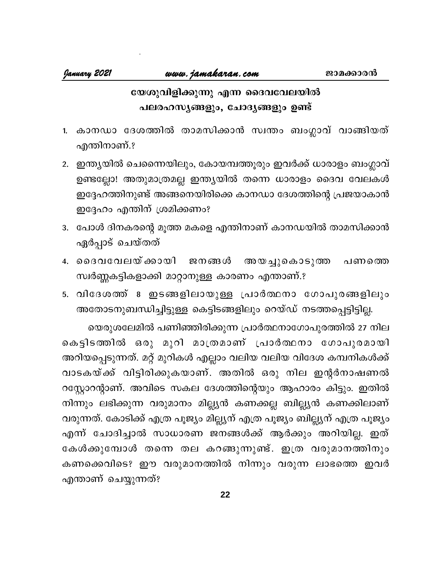## യേശുവിളിക്കുന്നു എന്ന ദൈവവേലയിൽ പലരഹസൃങ്ങളും, ചോദൃങ്ങളും ഉണ്ട്

- 1. കാനഡാ ദേശത്തിൽ താമസിക്കാൻ സ്വന്തം ബംഗ്ലാവ് വാങ്ങിയത് എന്തിനാണ്.?
- 2. ഇന്ത്യയിൽ ചെന്നൈയിലും, കോയമ്പത്തൂരും ഇവർക്ക് ധാരാളം ബംഗ്ലാവ് ഉണ്ടല്ലോ! അതുമാത്രമല്ല ഇന്ത്യയിൽ തന്നെ ധാരാളം ദൈവ വേലകൾ ഇദ്ദേഹത്തിനുണ്ട് അങ്ങനെയിരിക്കെ കാനഡാ ദേശത്തിന്റെ പ്രജയാകാൻ ഇദ്ദേഹം എന്തിന് ശ്രമിക്കണം?
- 3. പോൾ ദിനകരന്റെ മൂത്ത മകളെ എന്തിനാണ് കാനഡയിൽ താമസിക്കാൻ ഏർപ്പാട് ചെയ്തത്
- 4. ദൈവവേലയ്ക്കായി ജനങ്ങൾ അയച്ചുകൊടുത്ത പണത്തെ സ്വർണ്ണകട്ടികളാക്കി മാറ്റാനുള്ള കാരണം എന്താണ്.?
- 5. വിദേശത്ത് 8 ഇടങ്ങളിലായുള്ള പ്രാർത്ഥനാ ഗോപുരങ്ങളിലും അതോടനുബന്ധിച്ചിട്ടുള്ള കെട്ടിടങ്ങളിലും റെയ്ഡ് നടത്തപ്പെട്ടിട്ടില്ല.

യെരുശലേമിൽ പണിഞ്ഞിരിക്കുന്ന പ്രാർത്ഥനാഗോപുരത്തിൽ 27 നില കെട്ടിടത്തിൽ ഒരു മുറി മാത്രമാണ് പ്രാർത്ഥനാ ഗോപുരമായി അറിയപ്പെടുന്നത്. മറ്റ് മുറികൾ എല്ലാം വലിയ വലിയ വിദേശ കമ്പനികൾക്ക് വാടകയ്ക്ക് വിട്ടിരിക്കുകയാണ്. അതിൽ ഒരു നില ഇന്റർനാഷണൽ റസ്കോറന്റാണ്. അവിടെ സകല ദേശത്തിന്റെയും ആഹാരം കിട്ടും. ഇതിൽ നിന്നും ലഭിക്കുന്ന വരുമാനം മില്ല്യൻ കണക്കല്ല ബില്ല്യൻ കണക്കിലാണ് വരുന്നത്. കോടിക്ക് എത്ര പൂജ്യം മില്ല്യന് എത്ര പൂജ്യം ബില്ല്യന് എത്ര പൂജ്യം എന്ന് ചോദിച്ചാൽ സാധാരണ ജനങ്ങൾക്ക് ആർക്കും അറിയില്ല. ഇത് കേൾക്കുമ്പോൾ തന്നെ തല കറങ്ങുന്നുണ്ട്. ഇത്ര വരുമാനത്തിനും കണക്കെവിടെ? ഈ വരുമാനത്തിൽ നിന്നും വരുന്ന ലാഭത്തെ ഇവർ എന്താണ് ചെയ്യുന്നത്?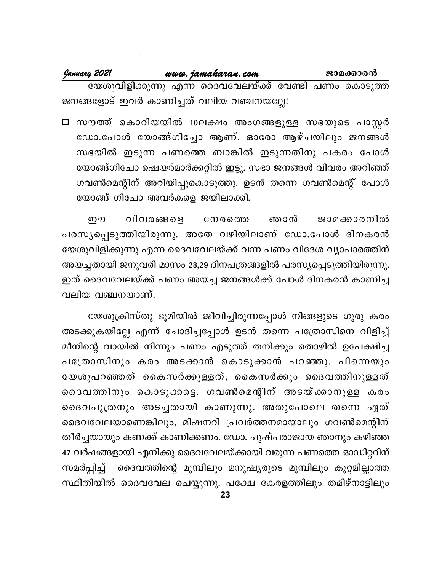| January 2021                             | www.jamakaran.com                                     |  | ജാമക്കാരൻ |
|------------------------------------------|-------------------------------------------------------|--|-----------|
|                                          | യേശുവിളിക്കുന്നു എന്ന ദൈവവേലയ്ക്ക് വേണ്ടി പണം കൊടുത്ത |  |           |
| ജനങ്ങളോട് ഇവർ കാണിച്ചത് വലിയ വഞ്ചനയല്ലേ! |                                                       |  |           |

□ സൗത്ത് കൊറിയയിൽ 10ലക്ഷം അംഗങ്ങളുള്ള സഭയുടെ പാസ്റ്റർ ഡോ.പോൾ യോങ്ങ്ഗിച്ചോ ആണ്. ഓരോ ആഴ്ചയിലും ജനങ്ങൾ സഭയിൽ ഇടുന്ന പണത്തെ ബാങ്കിൽ ഇടുന്നതിനു പകരം പോൾ യോങ്ങ്ഗിചോ ഷെയർമാർക്കറ്റിൽ ഇട്ടു. സഭാ ജനങ്ങൾ വിവരം അറിഞ്ഞ് ഗവൺമെന്റിന് അറിയിപ്പുകൊടുത്തു. ഉടൻ തന്നെ ഗവൺമെന്റ് പോൾ യോങ്ങ് ഗിചോ അവർകളെ ജയിലാക്കി.

று വിവരങ്ങളെ നേരത്തെ ഞാൻ ജാമക്കാരനിൽ പരസ്യപ്പെടുത്തിയിരുന്നു. അതേ വഴിയിലാണ് ഡോ.പോൾ ദിനകരൻ യേശുവിളിക്കുന്നു എന്ന ദൈവവേലയ്ക്ക് വന്ന പണം വിദേശ വ്യാപാരത്തിന് അയച്ചതായി ജനുവരി മാസം 28,29 ദിനപത്രങ്ങളിൽ പരസ്യപ്പെടുത്തിയിരുന്നു. ഇത് ദൈവവേലയ്ക്ക് പണം അയച്ച ജനങ്ങൾക്ക് പോൾ ദിനകരൻ കാണിച്ച വലിയ വഞ്ചനയാണ്.

യേശുക്രിസ്തു ഭൂമിയിൽ ജീവിച്ചിരുന്നപ്പോൾ നിങ്ങളുടെ ഗുരു കരം അടക്കുകയില്ലേ എന്ന് ചോദിച്ചപ്പോൾ ഉടൻ തന്നെ പത്രോസിനെ വിളിച്ച് മീനിന്റെ വായിൽ നിന്നും പണം എടുത്ത് തനിക്കും തൊഴിൽ ഉപേക്ഷിച്ച പത്രോസിനും കരം അടക്കാൻ കൊടുക്കാൻ പറഞ്ഞു. പിന്നെയും യേശുപറഞ്ഞത് കൈസർക്കുള്ളത്, കൈസർക്കും ദൈവത്തിനുള്ളത് ദൈവത്തിനും കൊടുക്കട്ടെ. ഗവൺമെന്റിന് അടയ്ക്കാനുള്ള കരം ദൈവപുത്രനും അടച്ചതായി കാണുന്നു. അതുപോലെ തന്നെ ഏത് ദൈവവേലയാണെങ്കിലും, മിഷനറി പ്രവർത്തനമായാലും ഗവൺമെന്റിന് തീർച്ചയായും കണക്ക് കാണിക്കണം. ഡോ. പുഷ്പരാജായ ഞാനും കഴിഞ്ഞ 47 വർഷങ്ങളായി എനിക്കു ദൈവവേലയ്ക്കായി വരുന്ന പണത്തെ ഓഡിറ്ററിന് ദൈവത്തിന്റെ മുമ്പിലും മനുഷ്യരുടെ മുമ്പിലും കുറ്റമില്ലാത്ത സമർപ്പിച്ച് സ്ഥിതിയിൽ ദൈവവേല ചെയ്യുന്നു. പക്ഷേ കേരളത്തിലും തമിഴ്നാട്ടിലും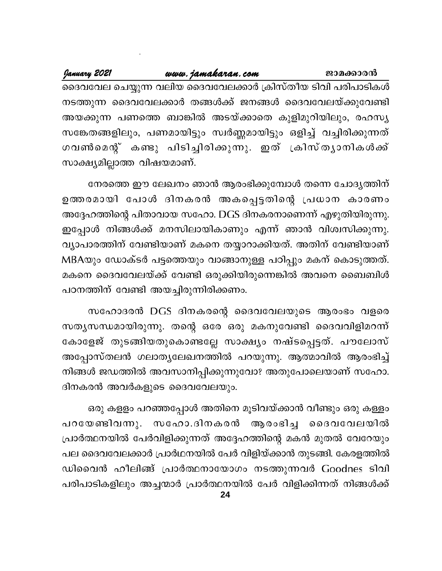www.jamakaran.com January 2021 ജാമക്കാരൻ ദൈവവേല ചെയ്യുന്ന വലിയ ദൈവവേലക്കാർ ക്രിസ്തീയ ടിവി പരിപാടികൾ നടത്തുന്ന ദൈവവേലക്കാർ തങ്ങൾക്ക് ജനങ്ങൾ ദൈവവേലയ്ക്കുവേണ്ടി അയക്കുന്ന പണത്തെ ബാങ്കിൽ അടയ്ക്കാതെ കുളിമുറിയിലും, രഹസ്യ സങ്കേതങ്ങളിലും, പണമായിട്ടും സ്വർണ്ണമായിട്ടും ഒളിച്ച് വച്ചിരിക്കുന്നത് ഗവൺമെന്റ് കണ്ടു പിടിച്ചിരിക്കുന്നു. ഇത് ക്രിസ്ത്യാനികൾക്ക് സാക്ഷ്യമില്ലാത്ത വിഷയമാണ്.

നേരത്തെ ഈ ലേഖനം ഞാൻ ആരംഭിക്കുമ്പോൾ തന്നെ ചോദ്യത്തിന് ഉത്തരമായി പോൾ ദിനകരൻ അകപ്പെട്ടതിന്റെ പ്രധാന കാരണം അദ്ദേഹത്തിന്റെ പിതാവായ സഹോ. DGS ദിനകരനാണെന്ന് എഴുതിയിരുന്നു. ഇപ്പോൾ നിങ്ങൾക്ക് മനസിലായികാണും എന്ന് ഞാൻ വിശ്വസിക്കുന്നു. വ്യാപാരത്തിന് വേണ്ടിയാണ് മകനെ തയ്യാറാക്കിയത്. അതിന് വേണ്ടിയാണ് MBAയും ഡോക്ടർ പട്ടത്തെയും വാങ്ങാനുള്ള പഠിപ്പും മകന് കൊടുത്തത്. മകനെ ദൈവവേലയ്ക്ക് വേണ്ടി ഒരുക്കിയിരുന്നെങ്കിൽ അവനെ ബൈബിൾ പഠനത്തിന് വേണ്ടി അയച്ചിരുന്നിരിക്കണം.

സഹോദരൻ DGS ദിനകരന്റെ ദൈവവേലയുടെ ആരംഭം വളരെ സതൃസന്ധമായിരുന്നു. തന്റെ ഒരേ ഒരു മകനുവേണ്ടി ദൈവവിളിമറന്ന് കോളേജ് തുടങ്ങിയതുകൊണ്ടല്ലേ സാക്ഷ്യം നഷ്ടപ്പെട്ടത്. പൗലോസ് അപ്പോസ്തലൻ ഗലാതൃലേഖനത്തിൽ പറയുന്നു. ആത്മാവിൽ ആരംഭിച്ച് നിങ്ങൾ ജഡത്തിൽ അവസാനിപ്പിക്കുന്നുവോ? അതുപോലെയാണ് സഹോ. ദിനകരൻ അവർകളുടെ ദൈവവേലയും.

ഒരു കളളം പറഞ്ഞപ്പോൾ അതിനെ മൂടിവയ്ക്കാൻ വീണ്ടും ഒരു കള്ളം പറയേണ്ടിവന്നു. സഹോ.ദിനകരൻ ആരംഭിച്ച ദൈവവേലയിൽ പ്രാർത്ഥനയിൽ പേർവിളിക്കുന്നത് അദ്ദേഹത്തിന്റെ മകൻ മുതൽ വേറേയും പല ദൈവവേലക്കാർ പ്രാർഥനയിൽ പേർ വിളിയ്ക്കാൻ തുടങ്ങി. കേരളത്തിൽ ഡിവൈൻ ഹീലിങ്ങ് പ്രാർത്ഥനായോഗം നടത്തുന്നവർ Goodnes ടിവി പരിപാടികളിലും അച്ചന്മാർ പ്രാർത്ഥനയിൽ പേർ വിളിക്കിന്നത് നിങ്ങൾക്ക്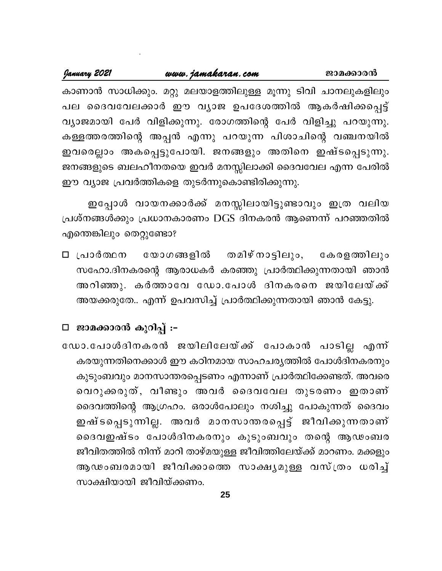| January 2021 | www.jamakaran.com                                              | ജാമക്കാരൻ |
|--------------|----------------------------------------------------------------|-----------|
|              | കാണാൻ സാധിക്കും. മറ്റു മലയാളത്തിലുള്ള മൂന്നു ടിവി ചാനലുകളിലും  |           |
|              | പല ദൈവവേലക്കാർ ഈ വൃാജ ഉപദേശത്തിൽ ആകർഷിക്കപ്പെട്ട്              |           |
|              | വ്യാജമായി പേർ വിളിക്കുന്നു. രോഗത്തിന്റെ പേർ വിളിച്ചു പറയുന്നു. |           |
|              | കള്ളത്തരത്തിന്റെ അപ്പൻ എന്നു പറയുന്ന പിശാചിന്റെ വഞ്ചനയിൽ       |           |
|              | ഇവരെല്ലാം അകപ്പെട്ടുപോയി. ജനങ്ങളും അതിനെ ഇഷ്ടപ്പെടുന്നു.       |           |
|              | ജനങ്ങളുടെ ബലഹീനതയെ ഇവർ മനസ്സിലാക്കി ദൈവവേല എന്ന പേരിൽ          |           |
|              | ഈ വ്യാജ പ്രവർത്തികളെ തുടർന്നുകൊണ്ടിരിക്കുന്നു.                 |           |

ഇപ്പോൾ വായനക്കാർക്ക് മനസ്സിലായിട്ടുണ്ടാവും ഇത്ര വലിയ പ്രശ്നങ്ങൾക്കും പ്രധാനകാരണം DGS ദിനകരൻ ആണെന്ന് പറഞ്ഞതിൽ എന്തെങ്കിലും തെറ്റുണ്ടോ?

യോഗങ്ങളിൽ തമിഴ്നാട്ടിലും, ⊡ പ്രാർത്ഥന കേരളത്തിലും സഹോ.ദിനകരന്റെ ആരാധകർ കരഞ്ഞു പ്രാർത്ഥിക്കുന്നതായി ഞാൻ അറിഞ്ഞു. കർത്താവേ ഡോ.പോൾ ദിനകരനെ ജയിലേയ്ക്ക് അയക്കരുതേ.. എന്ന് ഉപവസിച്ച് പ്രാർത്ഥിക്കുന്നതായി ഞാൻ കേട്ടു.

## □ ജാമക്കാരൻ കുറിപ്പ് :-

ഡോ.പോൾദിനകരൻ ജയിലിലേയ്ക്ക് പോകാൻ പാടില്ല എന്ന് കരയുന്നതിനെക്കാൾ ഈ കഠിനമായ സാഹചര്യത്തിൽ പോൾദിനകരനും കുടുംബവും മാനസാന്തരപ്പെടണം എന്നാണ് പ്രാർത്ഥിക്കേണ്ടത്. അവരെ വെറുക്കരുത്, വീണ്ടും അവർ ദൈവവേല തുടരണം ഇതാണ് ദൈവത്തിന്റെ ആഗ്രഹം. ഒരാൾപോലും നശിച്ചു പോകുന്നത് ദൈവം ഇഷ്ടപ്പെടുന്നില്ല. അവർ മാനസാന്തരപ്പെട്ട് ജീവിക്കുന്നതാണ് ദൈവഇഷ്ടം പോൾദിനകരനും കുടുംബവും തന്റെ ആഢംബര ജീവിതത്തിൽ നിന്ന് മാറി താഴ്മയുള്ള ജീവിത്തിലേയ്ക്ക് മാറണം. മക്കളും ആഢംബരമായി ജീവിക്കാത്തെ സാക്ഷ്യമുള്ള വസ്ത്രം ധരിച്ച് സാക്ഷിയായി ജീവിയ്ക്കണം.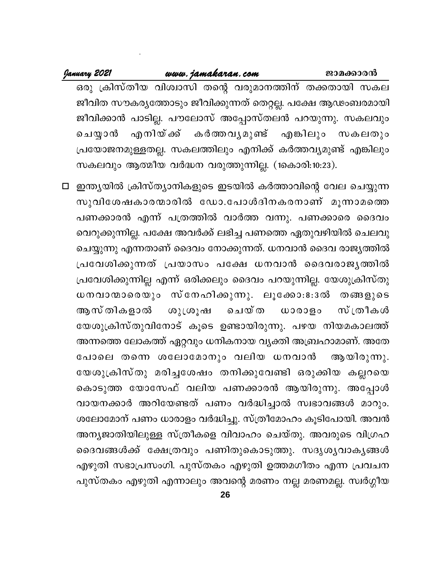#### January 2021 www.jamakaran.com ജാമക്കാരൻ ഒരു ക്രിസ്തീയ വിശ്വാസി തന്റെ വരുമാനത്തിന് തക്കതായി സകല ജീവിത സൗകര്യത്തോടും ജീവിക്കുന്നത് തെറ്റല്ല. പക്ഷേ ആഢംബരമായി ജീവിക്കാൻ പാടില്ല. പൗലോസ് അപ്പോസ്തലൻ പറയുന്നു. സകലവും എനിയ് ക്ക് എങ്കിലും സകലതും ചെയ്യാൻ കർത്തവൃമുണ്ട് പ്രയോജനമുള്ളതല്ല. സകലത്തിലും എനിക്ക് കർത്തവ്യമുണ്ട് എങ്കിലും സകലവും ആത്മീയ വർദ്ധന വരുത്തുന്നില്ല. (1കൊരി:10:23).

□ ഇന്ത്യയിൽ ക്രിസ്ത്യാനികളുടെ ഇടയിൽ കർത്താവിന്റെ വേല ചെയ്യുന്ന സുവിശേഷകാരന്മാരിൽ ഡോ.പോൾദിനകരനാണ് മൂന്നാമത്തെ പണക്കാരൻ എന്ന് പത്രത്തിൽ വാർത്ത വന്നു. പണക്കാരെ ദൈവം വെറുക്കുന്നില്ല. പക്ഷേ അവർക്ക് ലഭിച്ച പണത്തെ ഏതുവഴിയിൽ ചെലവു ചെയ്യുന്നു എന്നതാണ് ദൈവം നോക്കുന്നത്. ധനവാൻ ദൈവ രാജൃത്തിൽ പ്രവേശിക്കുന്നത് പ്രയാസം പക്ഷേ ധനവാൻ ദൈവരാജൃത്തിൽ പ്രവേശിക്കുന്നില്ല എന്ന് ഒരിക്കലും ദൈവം പറയുന്നില്ല. യേശുക്രിസ്തു ധനവാന്മാരെയും സ്നേഹിക്കുന്നു. ലൂക്കോ:8:3ൽ തങ്ങളുടെ ആസ് തികളാൽ സ്ത്രീകൾ ശുശൂഷ ചെയ്ത ധാരാളം യേശുക്രിസ്തുവിനോട് കൂടെ ഉണ്ടായിരുന്നു. പഴയ നിയമകാലത്ത് അന്നത്തെ ലോകത്ത് ഏറ്റവും ധനികനായ വ്യക്തി അബ്രഹാമാണ്. അതേ പോലെ തന്നെ ശലോമോനും വലിയ ധനവാൻ ആയിരുന്നു. യേശുക്രിസ്തു മരിച്ചശേഷം തനിക്കുവേണ്ടി ഒരുക്കിയ കല്ലറയെ കൊടുത്ത യോസേഫ് വലിയ പണക്കാരൻ ആയിരുന്നു. അപ്പോൾ വായനക്കാർ അറിയേണ്ടത് പണം വർദ്ധിച്ചാൽ സ്വഭാവങ്ങൾ മാറും. ശലോമോന് പണം ധാരാളം വർദ്ധിച്ചു. സ്ത്രീമോഹം കൂടിപോയി. അവൻ അന്യജാതിയിലുള്ള സ്ത്രീകളെ വിവാഹം ചെയ്തു. അവരുടെ വിഗ്രഹ ദൈവങ്ങൾക്ക് ക്ഷേത്രവും പണിതുകൊടുത്തു. സദൃശൃവാകൃങ്ങൾ എഴുതി സഭാപ്രസംഗി. പുസ്തകം എഴുതി ഉത്തമഗീതം എന്ന പ്രവചന പുസ്തകം എഴുതി എന്നാലും അവന്റെ മരണം നല്ല മരണമല്ല. സ്വർഗ്ഗീയ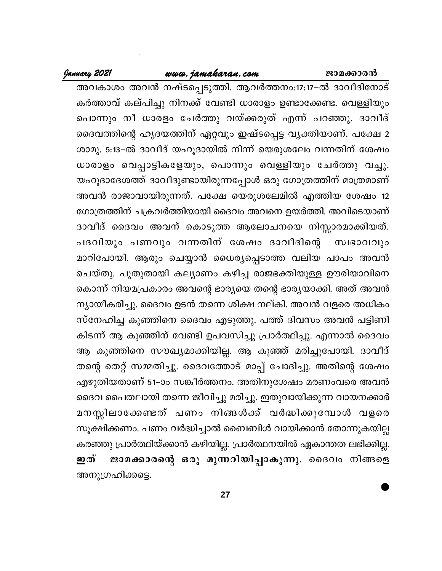ജാമക്കാരൻ

#### www.jamakaran.com

January 2021

അവകാശം അവൻ നഷ്ടപ്പെടുത്തി. ആവർത്തനം:17:17–ൽ ദാവിദിനോട് കർത്താവ് കല്പിച്ചു നിനക്ക് വേണ്ടി ധാരാളം ഉണ്ടാക്കേണ്ട. വെള്ളിയും പൊന്നും നീ ധാരളം ചേർത്തു വയ്ക്കരുത് എന്ന് പറഞ്ഞു. ദാവീദ് ദൈവത്തിന്റെ ഹൃദയത്തിന് ഏറ്റവും ഇഷ്ടപ്പെട്ട വൃക്തിയാണ്. പക്ഷേ 2 ശാമു. 5:13-ൽ ദാവീദ് യഹൂദായിൽ നിന്ന് യെരുശലേം വന്നതിന് ശേഷം ധാരാളം വെപ്പാട്ടികളേയും, പൊന്നും വെള്ളിയും ചേർത്തു വച്ചു. യഹൂദാദേശത്ത് ദാവീദുണ്ടായിരുന്നപ്പോൾ ഒരു ഗോത്രത്തിന് മാത്രമാണ് അവൻ രാജാവായിരുന്നത്. പക്ഷേ യെരുശലേമിൽ എത്തിയ ശേഷം 12 ഗോത്രത്തിന് ചക്രവർത്തിയായി ദൈവം അവനെ ഉയർത്തി. അവിടെയാണ് ദാവീദ് ദൈവം അവന് കൊടുത്ത ആലോചനയെ നിസ്സാരമാക്കിയത്. പദവിയും പണവും വന്നതിന് ശേഷം ദാവീദിന്റെ സ്വഭാവവും മാറിപോയി. ആരും ചെയ്യാൻ ധൈര്യപ്പെടാത്ത വലിയ പാപം അവൻ ചെയ്തു. പുതുതായി കല്യാണം കഴിച്ച രാജഭക്തിയുള്ള ഊരിയാവിനെ കൊന്ന് നിയമപ്രകാരം അവന്റെ ഭാര്യയെ തന്റെ ഭാര്യയാക്കി. അത് അവൻ ന്യായീകരിച്ചു. ദൈവം ഉടൻ തന്നെ ശിക്ഷ നല്കി. അവൻ വളരെ അധികം സ്നേഹിച്ച കുഞ്ഞിനെ ദൈവം എടുത്തു. പത്ത് ദിവസം അവൻ പട്ടിണി കിടന്ന് ആ കുഞ്ഞിന് വേണ്ടി ഉപവസിച്ചു പ്രാർത്ഥിച്ചു. എന്നാൽ ദൈവം ആ കുഞ്ഞിനെ സൗഖ്യമാക്കിയില്ല. ആ കുഞ്ഞ് മരിച്ചുപോയി. ദാവീദ് തന്റെ തെറ്റ് സമ്മതിച്ചു. ദൈവത്തോട് മാപ്പ് ചോദിച്ചു. അതിന്റെ ശേഷം എഴുതിയതാണ് 51–ാം സങ്കീർത്തനം. അതിനുശേഷം മരണംവരെ അവൻ ദൈവ പൈതലായി തന്നെ ജീവിച്ചു മരിച്ചു. ഇതുവായിക്കുന്ന വായനക്കാർ മനസ്സിലാക്കേണ്ടത് പണം നിങ്ങൾക്ക് വർദ്ധിക്കുമ്പോൾ വളരെ സൂക്ഷിക്കണം. പണം വർദ്ധിച്ചാൽ ബൈബിൾ വായിക്കാൻ തോന്നുകയില്ല കരഞ്ഞു പ്രാർത്ഥിയ്ക്കാൻ കഴിയില്ല. പ്രാർത്ഥനയിൽ ഏകാന്തത ലഭിക്കില്ല. ജാമക്കാരന്റെ ഒരു മുന്നറിയിപ്പാകുന്നു. ദൈവം നിങ്ങളെ ഇത് അനുഗ്രഹിക്കട്ടെ.